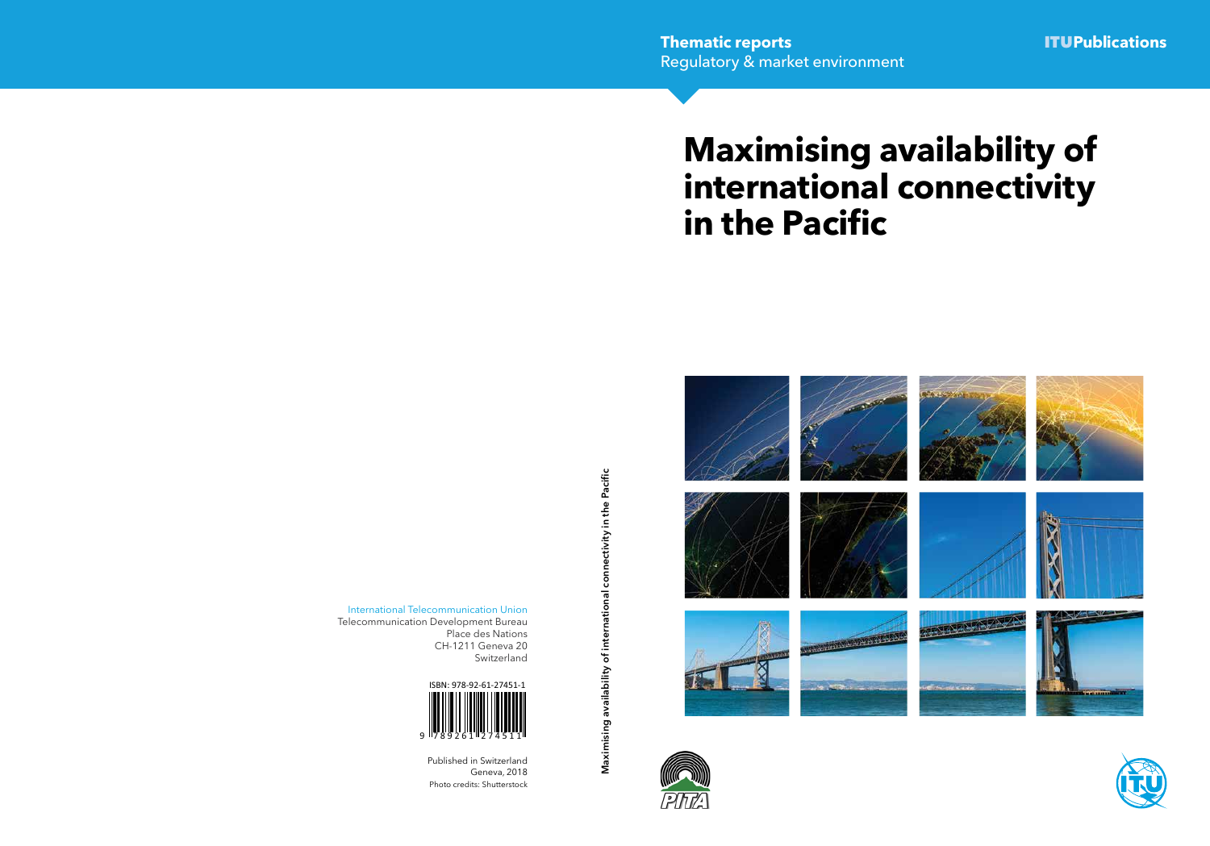# **Maximising availability of international connectivity in the Pacific**





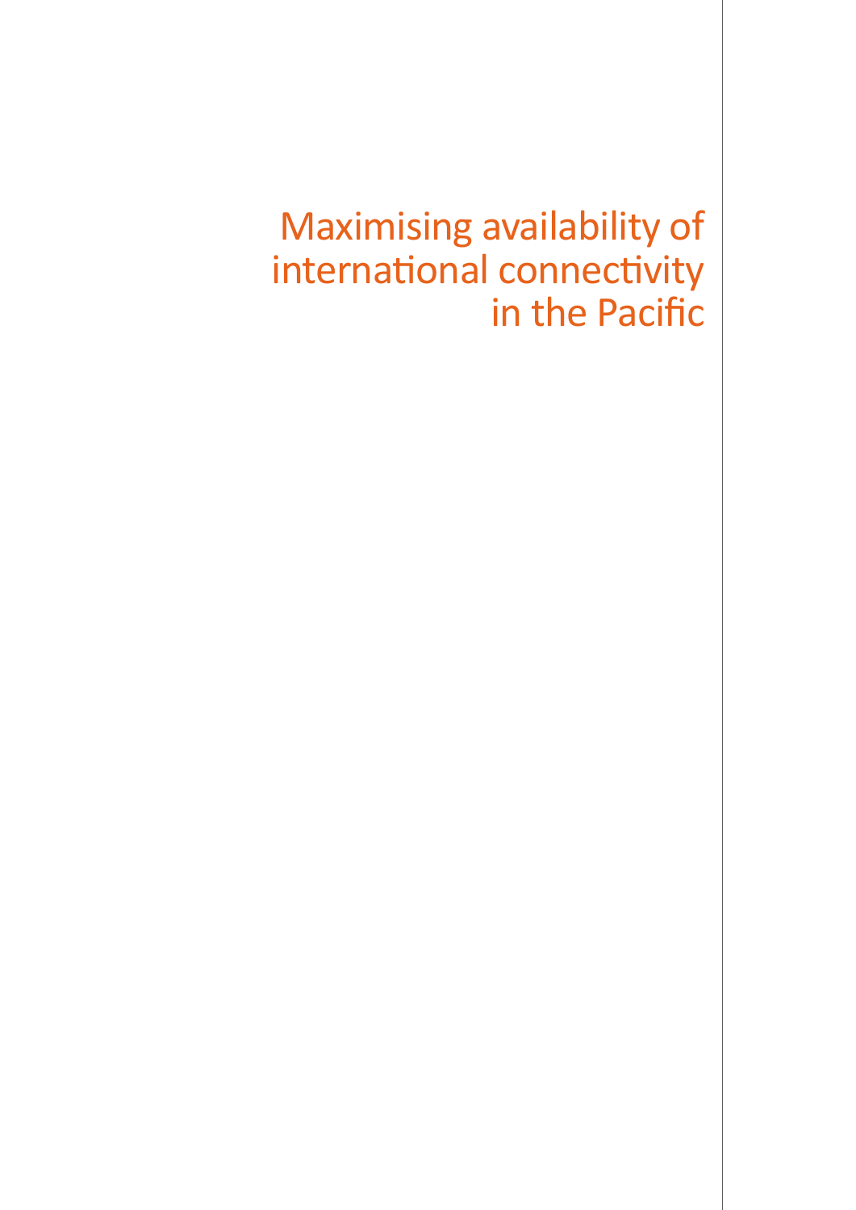## Maximising availability of international connectivity in the Pacific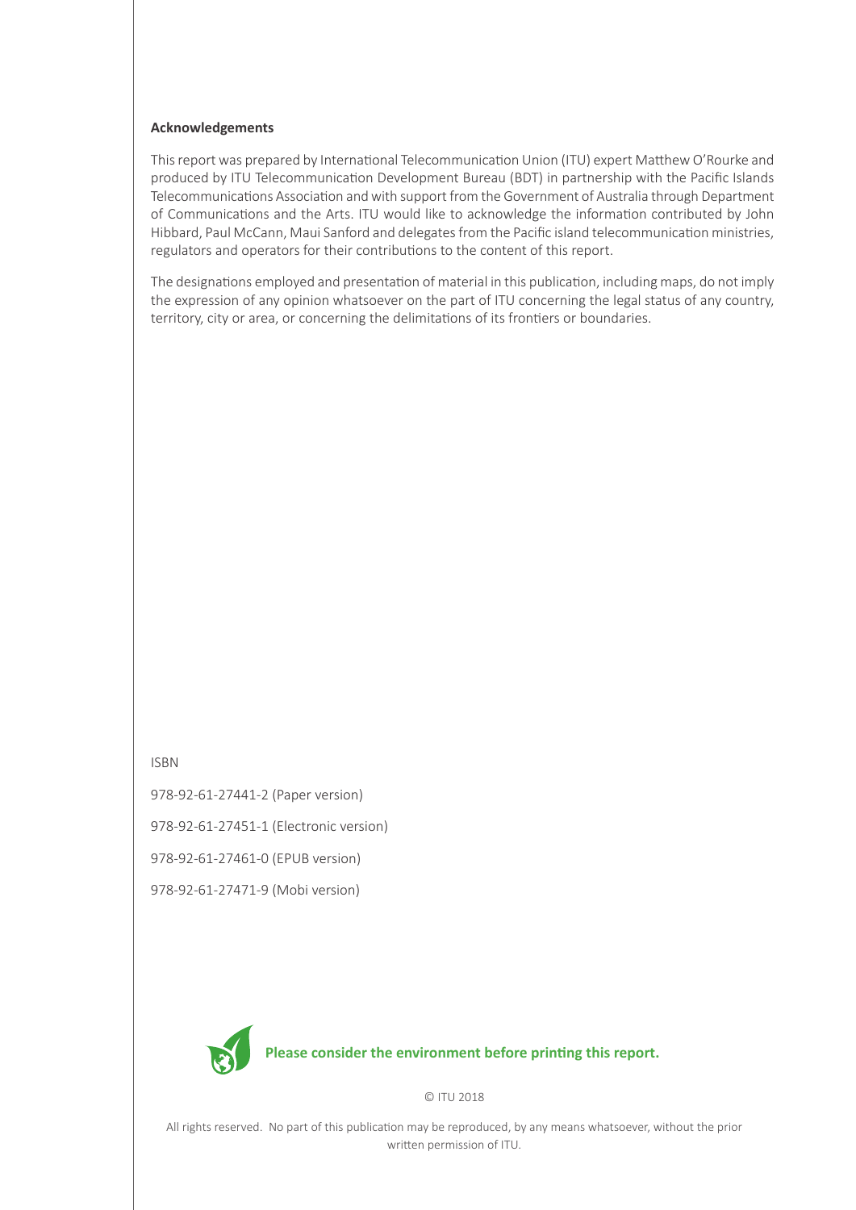#### **Acknowledgements**

This report was prepared by International Telecommunication Union (ITU) expert Matthew O'Rourke and produced by ITU Telecommunication Development Bureau (BDT) in partnership with the Pacific Islands Telecommunications Association and with support from the Government of Australia through Department of Communications and the Arts. ITU would like to acknowledge the information contributed by John Hibbard, Paul McCann, Maui Sanford and delegates from the Pacific island telecommunication ministries, regulators and operators for their contributions to the content of this report.

The designations employed and presentation of material in this publication, including maps, do not imply the expression of any opinion whatsoever on the part of ITU concerning the legal status of any country, territory, city or area, or concerning the delimitations of its frontiers or boundaries.

#### ISBN

978-92-61-27441-2 (Paper version)

978-92-61-27451-1 (Electronic version)

978-92-61-27461-0 (EPUB version)

978-92-61-27471-9 (Mobi version)



© ITU 2018

All rights reserved. No part of this publication may be reproduced, by any means whatsoever, without the prior written permission of ITU.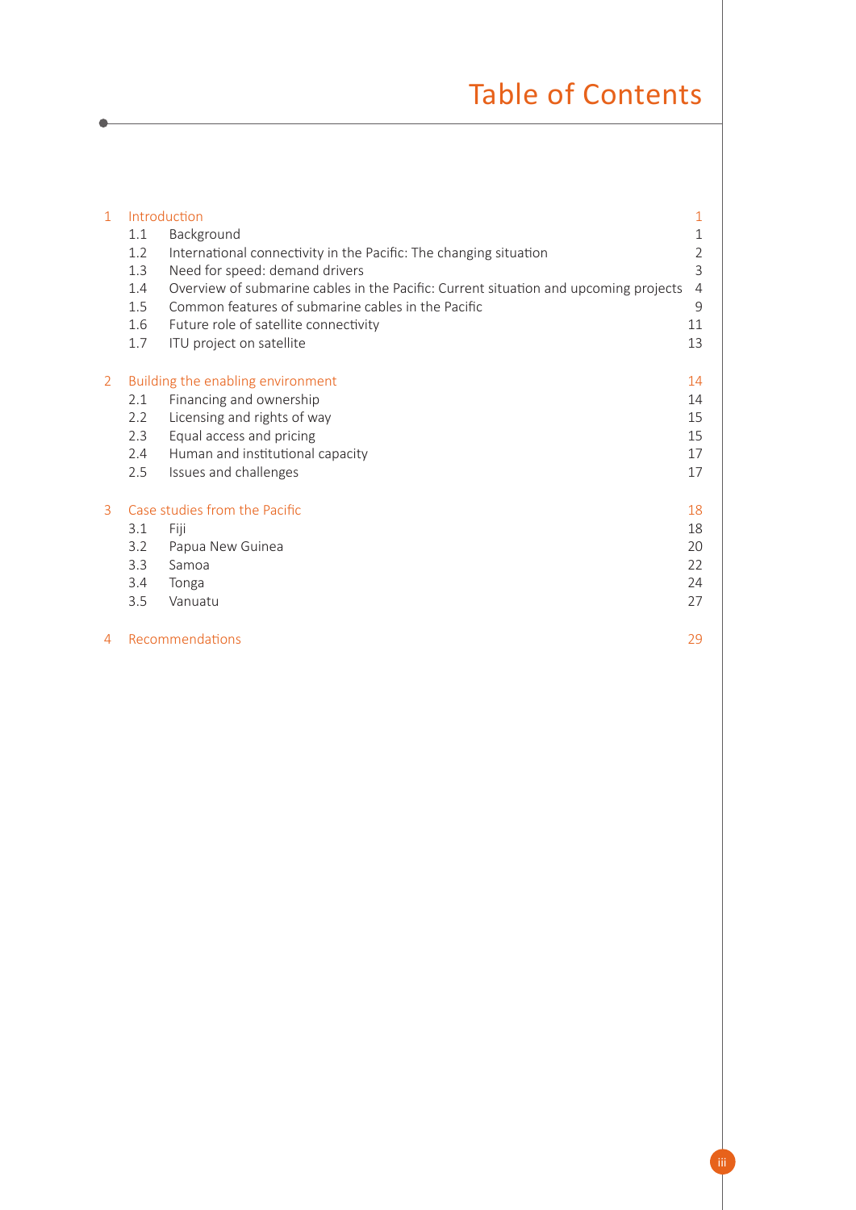## Table of Contents

| $\mathbf{1}$   | Introduction<br>1.1<br>1.2<br>1.3<br>1.4<br>1.5<br>1.6 | Background<br>International connectivity in the Pacific: The changing situation<br>Need for speed: demand drivers<br>Overview of submarine cables in the Pacific: Current situation and upcoming projects<br>Common features of submarine cables in the Pacific<br>Future role of satellite connectivity | $\mathbf{1}$<br>1<br>$\overline{2}$<br>3<br>$\overline{4}$<br>9<br>11 |
|----------------|--------------------------------------------------------|----------------------------------------------------------------------------------------------------------------------------------------------------------------------------------------------------------------------------------------------------------------------------------------------------------|-----------------------------------------------------------------------|
|                | 1.7                                                    | ITU project on satellite                                                                                                                                                                                                                                                                                 | 13                                                                    |
| $\overline{2}$ | 2.1<br>2.2<br>2.3<br>2.4<br>2.5                        | Building the enabling environment<br>Financing and ownership<br>Licensing and rights of way<br>Equal access and pricing<br>Human and institutional capacity<br>Issues and challenges                                                                                                                     | 14<br>14<br>15<br>15<br>17<br>17                                      |
| 3              | 3.1<br>3.2<br>3.3<br>3.4<br>3.5                        | Case studies from the Pacific<br>Fiji<br>Papua New Guinea<br>Samoa<br>Tonga<br>Vanuatu                                                                                                                                                                                                                   | 18<br>18<br>20<br>22<br>24<br>27                                      |
| 4              |                                                        | Recommendations                                                                                                                                                                                                                                                                                          | 29                                                                    |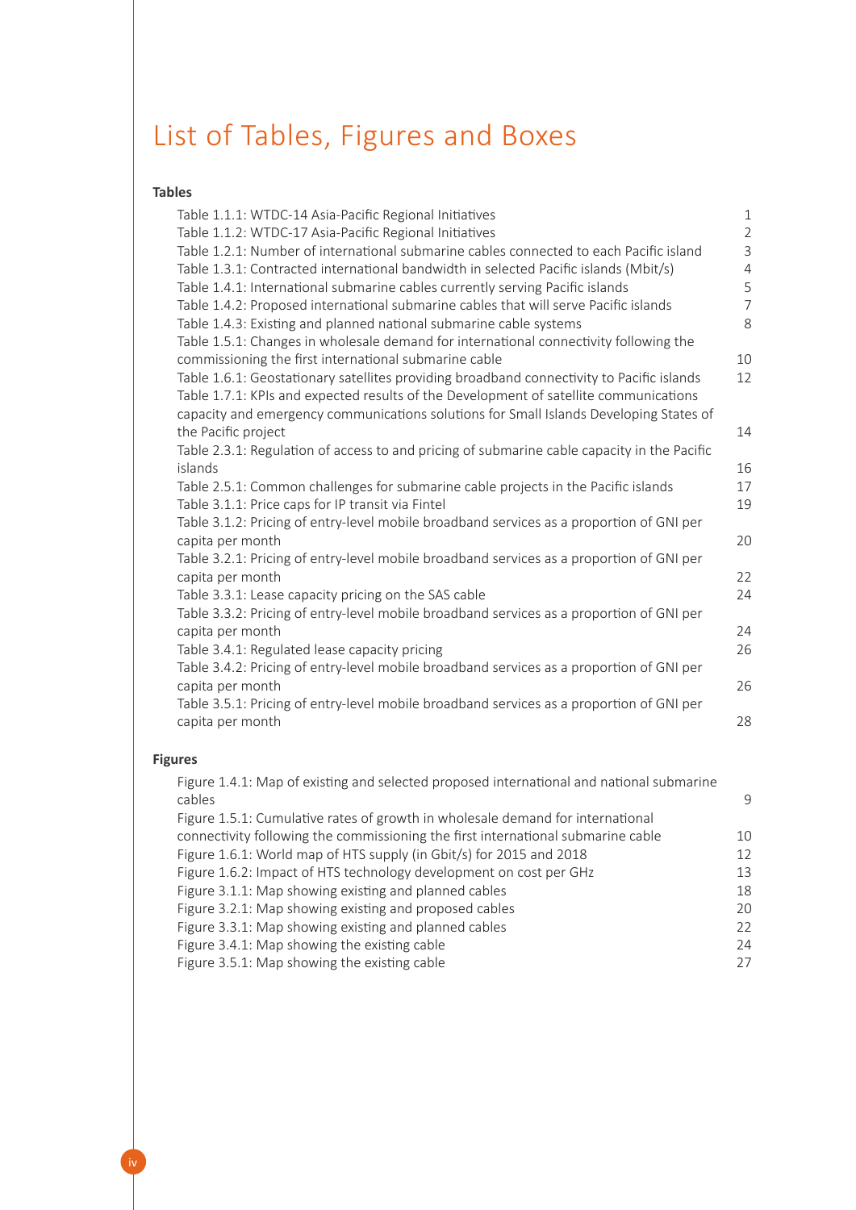## List of Tables, Figures and Boxes

#### **Tables**

| Table 1.1.1: WTDC-14 Asia-Pacific Regional Initiatives                                      | $\mathbf{1}$   |
|---------------------------------------------------------------------------------------------|----------------|
| Table 1.1.2: WTDC-17 Asia-Pacific Regional Initiatives                                      | $\overline{c}$ |
| Table 1.2.1: Number of international submarine cables connected to each Pacific island      | 3              |
| Table 1.3.1: Contracted international bandwidth in selected Pacific islands (Mbit/s)        | $\overline{a}$ |
| Table 1.4.1: International submarine cables currently serving Pacific islands               | 5              |
| Table 1.4.2: Proposed international submarine cables that will serve Pacific islands        | $\overline{7}$ |
| Table 1.4.3: Existing and planned national submarine cable systems                          | 8              |
| Table 1.5.1: Changes in wholesale demand for international connectivity following the       |                |
| commissioning the first international submarine cable                                       | 10             |
| Table 1.6.1: Geostationary satellites providing broadband connectivity to Pacific islands   | 12             |
| Table 1.7.1: KPIs and expected results of the Development of satellite communications       |                |
| capacity and emergency communications solutions for Small Islands Developing States of      |                |
| the Pacific project                                                                         | 14             |
| Table 2.3.1: Regulation of access to and pricing of submarine cable capacity in the Pacific |                |
| islands                                                                                     | 16             |
| Table 2.5.1: Common challenges for submarine cable projects in the Pacific islands          | 17             |
| Table 3.1.1: Price caps for IP transit via Fintel                                           | 19             |
| Table 3.1.2: Pricing of entry-level mobile broadband services as a proportion of GNI per    |                |
| capita per month                                                                            | 20             |
| Table 3.2.1: Pricing of entry-level mobile broadband services as a proportion of GNI per    |                |
| capita per month                                                                            | 22             |
| Table 3.3.1: Lease capacity pricing on the SAS cable                                        | 24             |
| Table 3.3.2: Pricing of entry-level mobile broadband services as a proportion of GNI per    |                |
| capita per month                                                                            | 24             |
| Table 3.4.1: Regulated lease capacity pricing                                               | 26             |
| Table 3.4.2: Pricing of entry-level mobile broadband services as a proportion of GNI per    |                |
| capita per month                                                                            | 26             |
| Table 3.5.1: Pricing of entry-level mobile broadband services as a proportion of GNI per    |                |
| capita per month                                                                            | 28             |
|                                                                                             |                |

### **Figures**

| Figure 1.4.1: Map of existing and selected proposed international and national submarine |    |
|------------------------------------------------------------------------------------------|----|
| cables                                                                                   | 9  |
| Figure 1.5.1: Cumulative rates of growth in wholesale demand for international           |    |
| connectivity following the commissioning the first international submarine cable         | 10 |
| Figure 1.6.1: World map of HTS supply (in Gbit/s) for 2015 and 2018                      | 12 |
| Figure 1.6.2: Impact of HTS technology development on cost per GHz                       | 13 |
| Figure 3.1.1: Map showing existing and planned cables                                    | 18 |
| Figure 3.2.1: Map showing existing and proposed cables                                   | 20 |
| Figure 3.3.1: Map showing existing and planned cables                                    | 22 |
| Figure 3.4.1: Map showing the existing cable                                             | 24 |
| Figure 3.5.1: Map showing the existing cable                                             | 27 |
|                                                                                          |    |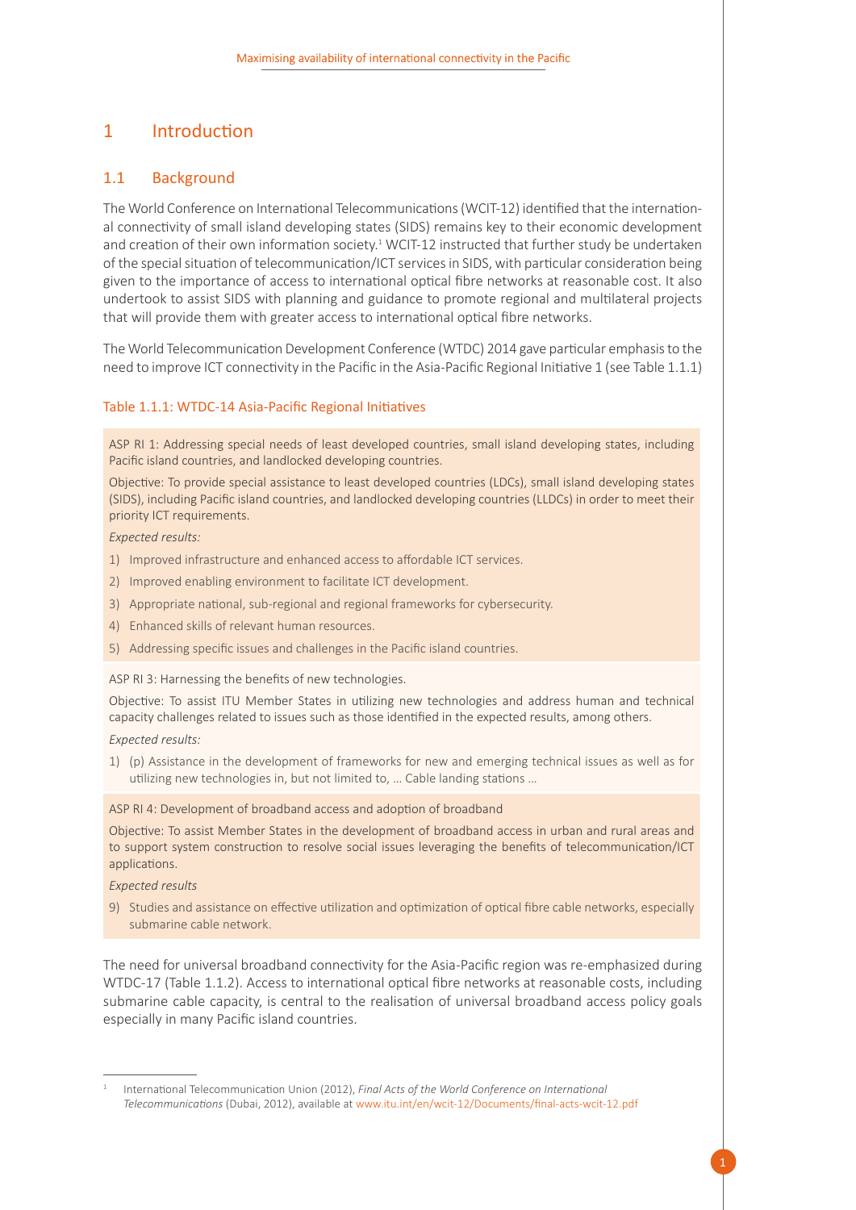### <span id="page-6-0"></span>1 Introduction

#### <span id="page-6-1"></span>1.1 Background

The World Conference on International Telecommunications (WCIT-12) identified that the international connectivity of small island developing states (SIDS) remains key to their economic development and creation of their own information society.<sup>1</sup> WCIT-12 instructed that further study be undertaken of the special situation of telecommunication/ICT services in SIDS, with particular consideration being given to the importance of access to international optical fibre networks at reasonable cost. It also undertook to assist SIDS with planning and guidance to promote regional and multilateral projects that will provide them with greater access to international optical fibre networks.

The World Telecommunication Development Conference (WTDC) 2014 gave particular emphasis to the need to improve ICT connectivity in the Pacific in the Asia-Pacific Regional Initiative 1 (see Table 1.1.1)

#### <span id="page-6-2"></span>Table 1.1.1: WTDC-14 Asia-Pacific Regional Initiatives

ASP RI 1: Addressing special needs of least developed countries, small island developing states, including Pacific island countries, and landlocked developing countries.

Objective: To provide special assistance to least developed countries (LDCs), small island developing states (SIDS), including Pacific island countries, and landlocked developing countries (LLDCs) in order to meet their priority ICT requirements.

*Expected results:*

- 1) Improved infrastructure and enhanced access to affordable ICT services.
- 2) Improved enabling environment to facilitate ICT development.
- 3) Appropriate national, sub-regional and regional frameworks for cybersecurity.
- 4) Enhanced skills of relevant human resources.
- 5) Addressing specific issues and challenges in the Pacific island countries.

ASP RI 3: Harnessing the benefits of new technologies.

Objective: To assist ITU Member States in utilizing new technologies and address human and technical capacity challenges related to issues such as those identified in the expected results, among others.

*Expected results:* 

1) (p) Assistance in the development of frameworks for new and emerging technical issues as well as for utilizing new technologies in, but not limited to, … Cable landing stations …

ASP RI 4: Development of broadband access and adoption of broadband

Objective: To assist Member States in the development of broadband access in urban and rural areas and to support system construction to resolve social issues leveraging the benefits of telecommunication/ICT applications.

*Expected results*

9) Studies and assistance on effective utilization and optimization of optical fibre cable networks, especially submarine cable network.

The need for universal broadband connectivity for the Asia-Pacific region was re-emphasized during WTDC-17 (Table 1.1.2). Access to international optical fibre networks at reasonable costs, including submarine cable capacity, is central to the realisation of universal broadband access policy goals especially in many Pacific island countries.

<sup>1</sup> International Telecommunication Union (2012), *Final Acts of the World Conference on International Telecommunications* (Dubai, 2012), available at www.itu.int/en/wcit-12/Documents/final-acts-wcit-12.pdf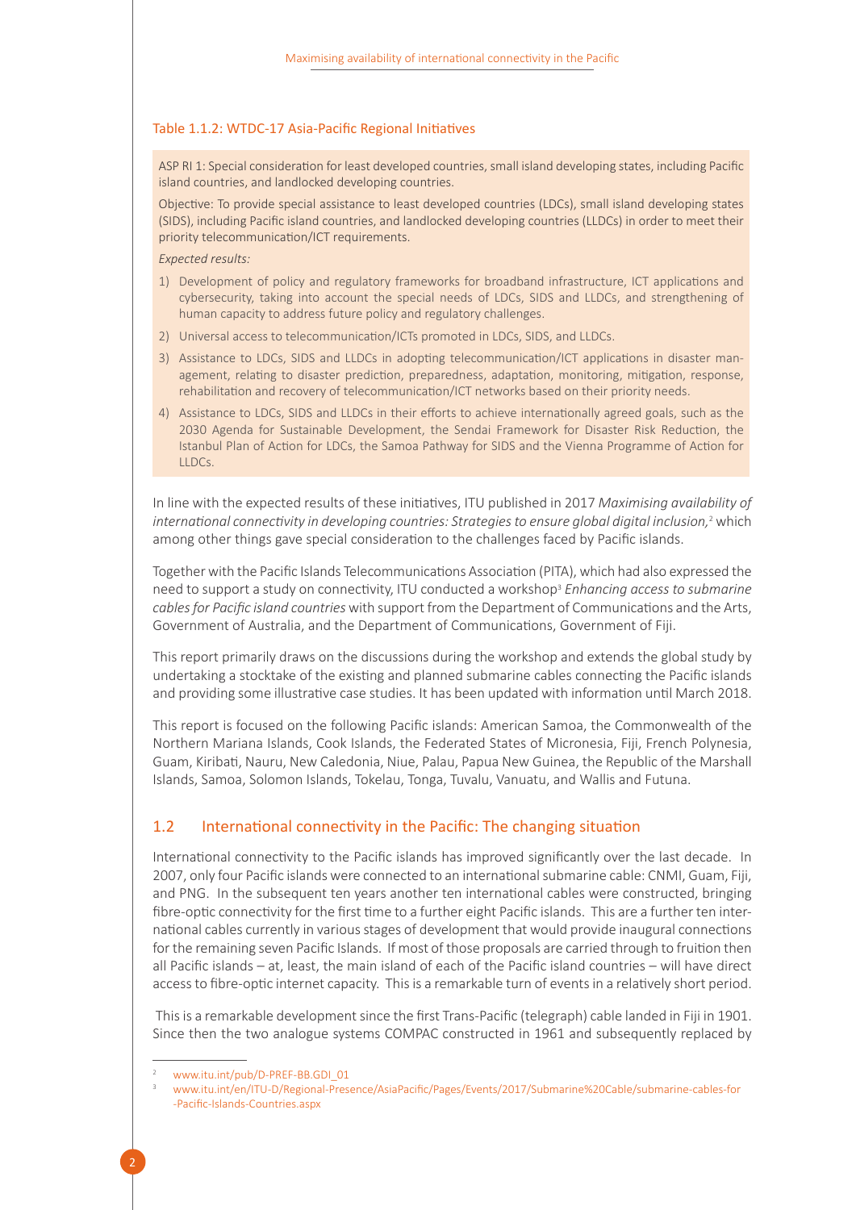#### <span id="page-7-1"></span>Table 1.1.2: WTDC-17 Asia-Pacific Regional Initiatives

ASP RI 1: Special consideration for least developed countries, small island developing states, including Pacific island countries, and landlocked developing countries.

Objective: To provide special assistance to least developed countries (LDCs), small island developing states (SIDS), including Pacific island countries, and landlocked developing countries (LLDCs) in order to meet their priority telecommunication/ICT requirements.

*Expected results:*

- 1) Development of policy and regulatory frameworks for broadband infrastructure, ICT applications and cybersecurity, taking into account the special needs of LDCs, SIDS and LLDCs, and strengthening of human capacity to address future policy and regulatory challenges.
- 2) Universal access to telecommunication/ICTs promoted in LDCs, SIDS, and LLDCs.
- 3) Assistance to LDCs, SIDS and LLDCs in adopting telecommunication/ICT applications in disaster management, relating to disaster prediction, preparedness, adaptation, monitoring, mitigation, response, rehabilitation and recovery of telecommunication/ICT networks based on their priority needs.
- 4) Assistance to LDCs, SIDS and LLDCs in their efforts to achieve internationally agreed goals, such as the 2030 Agenda for Sustainable Development, the Sendai Framework for Disaster Risk Reduction, the Istanbul Plan of Action for LDCs, the Samoa Pathway for SIDS and the Vienna Programme of Action for LLDCs.

In line with the expected results of these initiatives, ITU published in 2017 *Maximising availability of*  international connectivity in developing countries: Strategies to ensure global digital inclusion,<sup>2</sup> which among other things gave special consideration to the challenges faced by Pacific islands.

Together with the Pacific Islands Telecommunications Association (PITA), which had also expressed the need to support a study on connectivity, ITU conducted a workshop<sup>3</sup> *Enhancing access to submarine cables for Pacific island countries* with support from the Department of Communications and the Arts, Government of Australia, and the Department of Communications, Government of Fiji.

This report primarily draws on the discussions during the workshop and extends the global study by undertaking a stocktake of the existing and planned submarine cables connecting the Pacific islands and providing some illustrative case studies. It has been updated with information until March 2018.

This report is focused on the following Pacific islands: American Samoa, the Commonwealth of the Northern Mariana Islands, Cook Islands, the Federated States of Micronesia, Fiji, French Polynesia, Guam, Kiribati, Nauru, New Caledonia, Niue, Palau, Papua New Guinea, the Republic of the Marshall Islands, Samoa, Solomon Islands, Tokelau, Tonga, Tuvalu, Vanuatu, and Wallis and Futuna.

#### <span id="page-7-0"></span>1.2 International connectivity in the Pacific: The changing situation

International connectivity to the Pacific islands has improved significantly over the last decade. In 2007, only four Pacific islands were connected to an international submarine cable: CNMI, Guam, Fiji, and PNG. In the subsequent ten years another ten international cables were constructed, bringing fibre-optic connectivity for the first time to a further eight Pacific islands. This are a further ten international cables currently in various stages of development that would provide inaugural connections for the remaining seven Pacific Islands. If most of those proposals are carried through to fruition then all Pacific islands – at, least, the main island of each of the Pacific island countries – will have direct access to fibre-optic internet capacity. This is a remarkable turn of events in a relatively short period.

 This is a remarkable development since the first Trans-Pacific (telegraph) cable landed in Fiji in 1901. Since then the two analogue systems COMPAC constructed in 1961 and subsequently replaced by

www.itu.int/pub/D-PREF-BB.GDI\_01

<sup>3</sup> www.itu.int/en/ITU-D/Regional-Presence/AsiaPacific/Pages/Events/2017/Submarine%20Cable/submarine-cables-for -Pacific-Islands-Countries.aspx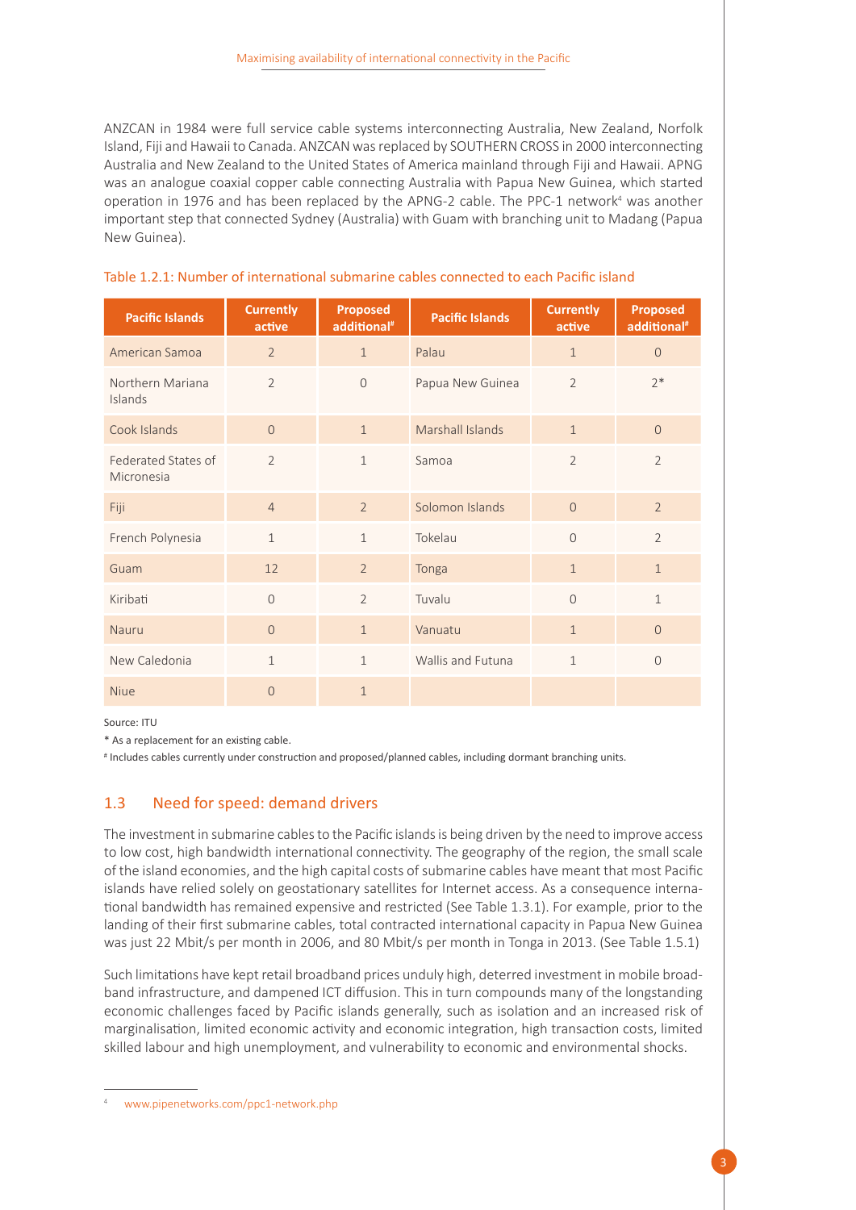ANZCAN in 1984 were full service cable systems interconnecting Australia, New Zealand, Norfolk Island, Fiji and Hawaii to Canada. ANZCAN was replaced by SOUTHERN CROSS in 2000 interconnecting Australia and New Zealand to the United States of America mainland through Fiji and Hawaii. APNG was an analogue coaxial copper cable connecting Australia with Papua New Guinea, which started operation in 1976 and has been replaced by the APNG-2 cable. The PPC-1 network<sup>4</sup> was another important step that connected Sydney (Australia) with Guam with branching unit to Madang (Papua New Guinea).

| <b>Pacific Islands</b>            | <b>Currently</b><br>active | <b>Proposed</b><br>additional <sup>#</sup> | <b>Pacific Islands</b> | <b>Currently</b><br>active | <b>Proposed</b><br>additional <sup>#</sup> |
|-----------------------------------|----------------------------|--------------------------------------------|------------------------|----------------------------|--------------------------------------------|
| American Samoa                    | $\overline{2}$             | $\mathbf{1}$                               | Palau                  | $\mathbf{1}$               | $\Omega$                                   |
| Northern Mariana<br>Islands       | $\overline{2}$             | $\mathcal{O}$                              | Papua New Guinea       | $\overline{2}$             | $2*$                                       |
| Cook Islands                      | $\Omega$                   | $\mathbf{1}$                               | Marshall Islands       | $\mathbf{1}$               | $\overline{O}$                             |
| Federated States of<br>Micronesia | $\overline{2}$             | 1                                          | Samoa                  | $\overline{2}$             | $\overline{2}$                             |
| Fiji                              | $\overline{4}$             | $\overline{2}$                             | Solomon Islands        | $\Omega$                   | $\overline{2}$                             |
| French Polynesia                  | $\mathbf{1}$               | $\mathbf{1}$                               | Tokelau                | $\Omega$                   | $\overline{2}$                             |
| Guam                              | 12                         | $\overline{2}$                             | Tonga                  | $\mathbf{1}$               | $\mathbf{1}$                               |
| Kiribati                          | $\mathcal{O}$              | $\overline{2}$                             | Tuvalu                 | $\Omega$                   | $\mathbf{1}$                               |
| <b>Nauru</b>                      | $\Omega$                   | $\mathbf{1}$                               | Vanuatu                | $\mathbf{1}$               | $\Omega$                                   |
| New Caledonia                     | $\mathbf{1}$               | $\mathbf{1}$                               | Wallis and Futuna      | $\mathbf{1}$               | $\Omega$                                   |
| <b>Niue</b>                       | $\Omega$                   | $\mathbf 1$                                |                        |                            |                                            |

#### <span id="page-8-1"></span>Table 1.2.1: Number of international submarine cables connected to each Pacific island

Source: ITU

\* As a replacement for an existing cable.

# Includes cables currently under construction and proposed/planned cables, including dormant branching units.

#### <span id="page-8-0"></span>1.3 Need for speed: demand drivers

The investment in submarine cables to the Pacific islands is being driven by the need to improve access to low cost, high bandwidth international connectivity. The geography of the region, the small scale of the island economies, and the high capital costs of submarine cables have meant that most Pacific islands have relied solely on geostationary satellites for Internet access. As a consequence international bandwidth has remained expensive and restricted (See Table 1.3.1). For example, prior to the landing of their first submarine cables, total contracted international capacity in Papua New Guinea was just 22 Mbit/s per month in 2006, and 80 Mbit/s per month in Tonga in 2013. (See Table 1.5.1)

Such limitations have kept retail broadband prices unduly high, deterred investment in mobile broadband infrastructure, and dampened ICT diffusion. This in turn compounds many of the longstanding economic challenges faced by Pacific islands generally, such as isolation and an increased risk of marginalisation, limited economic activity and economic integration, high transaction costs, limited skilled labour and high unemployment, and vulnerability to economic and environmental shocks.

www.pipenetworks.com/ppc1-network.php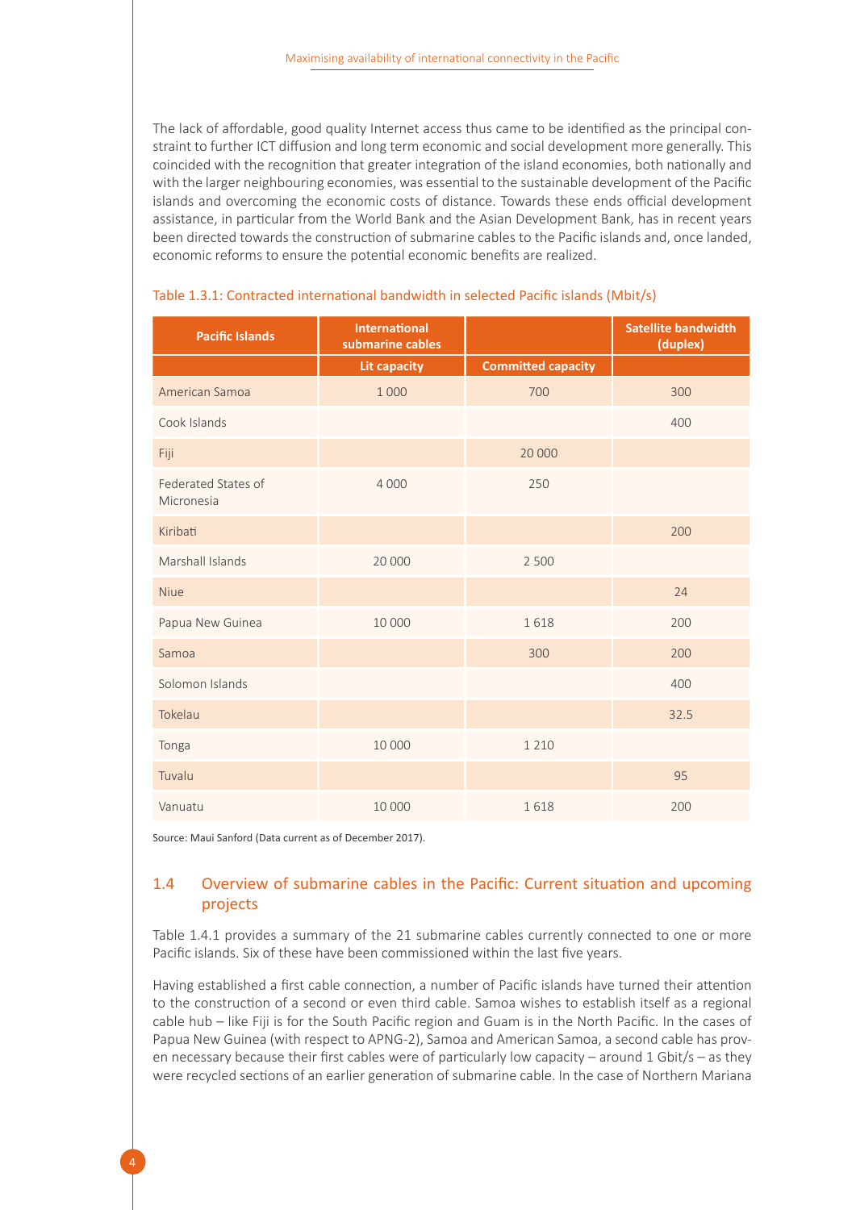The lack of affordable, good quality Internet access thus came to be identified as the principal constraint to further ICT diffusion and long term economic and social development more generally. This coincided with the recognition that greater integration of the island economies, both nationally and with the larger neighbouring economies, was essential to the sustainable development of the Pacific islands and overcoming the economic costs of distance. Towards these ends official development assistance, in particular from the World Bank and the Asian Development Bank, has in recent years been directed towards the construction of submarine cables to the Pacific islands and, once landed, economic reforms to ensure the potential economic benefits are realized.

| <b>Pacific Islands</b>            | <b>International</b><br>submarine cables |                           | <b>Satellite bandwidth</b><br>(duplex) |
|-----------------------------------|------------------------------------------|---------------------------|----------------------------------------|
|                                   | <b>Lit capacity</b>                      | <b>Committed capacity</b> |                                        |
| American Samoa                    | 1 0 0 0                                  | 700                       | 300                                    |
| Cook Islands                      |                                          |                           | 400                                    |
| Fiji                              |                                          | 20 000                    |                                        |
| Federated States of<br>Micronesia | 4 0 0 0                                  | 250                       |                                        |
| Kiribati                          |                                          |                           | 200                                    |
| Marshall Islands                  | 20 000                                   | 2 500                     |                                        |
| <b>Niue</b>                       |                                          |                           | 24                                     |
| Papua New Guinea                  | 10 000                                   | 1618                      | 200                                    |
| Samoa                             |                                          | 300                       | 200                                    |
| Solomon Islands                   |                                          |                           | 400                                    |
| Tokelau                           |                                          |                           | 32.5                                   |
| Tonga                             | 10 000                                   | 1 2 1 0                   |                                        |
| Tuvalu                            |                                          |                           | 95                                     |
| Vanuatu                           | 10 000                                   | 1618                      | 200                                    |

#### <span id="page-9-1"></span>Table 1.3.1: Contracted international bandwidth in selected Pacific islands (Mbit/s)

Source: Maui Sanford (Data current as of December 2017).

#### <span id="page-9-0"></span>1.4 Overview of submarine cables in the Pacific: Current situation and upcoming projects

Table 1.4.1 provides a summary of the 21 submarine cables currently connected to one or more Pacific islands. Six of these have been commissioned within the last five years.

Having established a first cable connection, a number of Pacific islands have turned their attention to the construction of a second or even third cable. Samoa wishes to establish itself as a regional cable hub – like Fiji is for the South Pacific region and Guam is in the North Pacific. In the cases of Papua New Guinea (with respect to APNG-2), Samoa and American Samoa, a second cable has proven necessary because their first cables were of particularly low capacity – around 1 Gbit/s – as they were recycled sections of an earlier generation of submarine cable. In the case of Northern Mariana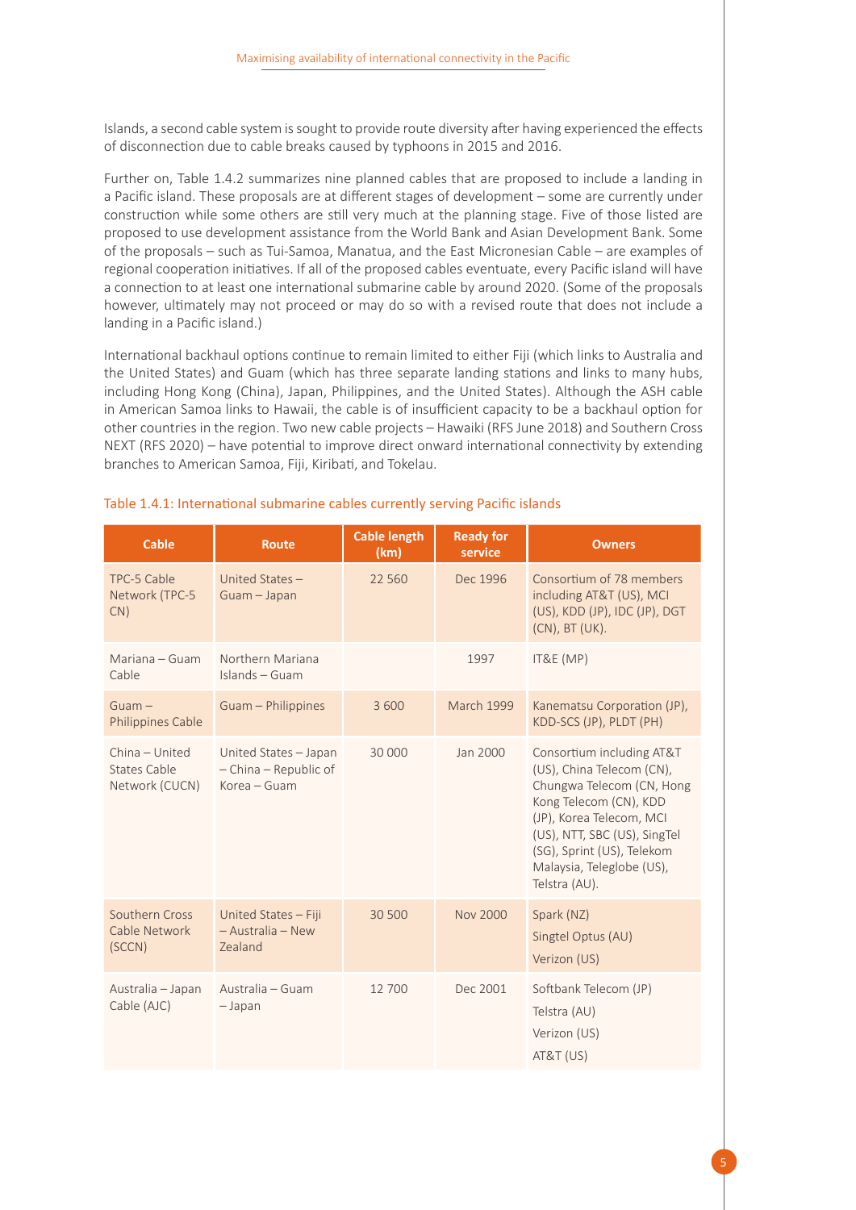Islands, a second cable system is sought to provide route diversity after having experienced the effects of disconnection due to cable breaks caused by typhoons in 2015 and 2016.

Further on, Table 1.4.2 summarizes nine planned cables that are proposed to include a landing in a Pacific island. These proposals are at different stages of development – some are currently under construction while some others are still very much at the planning stage. Five of those listed are proposed to use development assistance from the World Bank and Asian Development Bank. Some of the proposals – such as Tui-Samoa, Manatua, and the East Micronesian Cable – are examples of regional cooperation initiatives. If all of the proposed cables eventuate, every Pacific island will have a connection to at least one international submarine cable by around 2020. (Some of the proposals however, ultimately may not proceed or may do so with a revised route that does not include a landing in a Pacific island.)

International backhaul options continue to remain limited to either Fiji (which links to Australia and the United States) and Guam (which has three separate landing stations and links to many hubs, including Hong Kong (China), Japan, Philippines, and the United States). Although the ASH cable in American Samoa links to Hawaii, the cable is of insufficient capacity to be a backhaul option for other countries in the region. Two new cable projects – Hawaiki (RFS June 2018) and Southern Cross NEXT (RFS 2020) – have potential to improve direct onward international connectivity by extending branches to American Samoa, Fiji, Kiribati, and Tokelau.

| <b>Cable</b>                                     | <b>Route</b>                                                   | <b>Cable length</b><br>(km) | <b>Ready for</b><br>service | <b>Owners</b>                                                                                                                                                                                                                                         |
|--------------------------------------------------|----------------------------------------------------------------|-----------------------------|-----------------------------|-------------------------------------------------------------------------------------------------------------------------------------------------------------------------------------------------------------------------------------------------------|
| TPC-5 Cable<br>Network (TPC-5<br>CN)             | United States -<br>Guam - Japan                                | 22 5 6 0                    | Dec 1996                    | Consortium of 78 members<br>including AT&T (US), MCI<br>(US), KDD (JP), IDC (JP), DGT<br>(CN), BT (UK).                                                                                                                                               |
| Mariana - Guam<br>Cable                          | Northern Mariana<br>Islands - Guam                             |                             | 1997                        | IT&E (MP)                                                                                                                                                                                                                                             |
| $G$ uam $-$<br>Philippines Cable                 | Guam - Philippines                                             | 3 600                       | <b>March 1999</b>           | Kanematsu Corporation (JP),<br>KDD-SCS (JP), PLDT (PH)                                                                                                                                                                                                |
| China - United<br>States Cable<br>Network (CUCN) | United States - Japan<br>- China - Republic of<br>Korea - Guam | 30 000                      | Jan 2000                    | Consortium including AT&T<br>(US), China Telecom (CN),<br>Chungwa Telecom (CN, Hong<br>Kong Telecom (CN), KDD<br>(JP), Korea Telecom, MCI<br>(US), NTT, SBC (US), SingTel<br>(SG), Sprint (US), Telekom<br>Malaysia, Teleglobe (US),<br>Telstra (AU). |
| Southern Cross<br>Cable Network<br>(SCCN)        | United States - Fiji<br>- Australia - New<br>Zealand           | 30 500                      | Nov 2000                    | Spark (NZ)<br>Singtel Optus (AU)<br>Verizon (US)                                                                                                                                                                                                      |
| Australia - Japan<br>Cable (AJC)                 | Australia - Guam<br>$-$ Japan                                  | 12 700                      | Dec 2001                    | Softbank Telecom (JP)<br>Telstra (AU)<br>Verizon (US)<br><b>AT&amp;T (US)</b>                                                                                                                                                                         |

#### <span id="page-10-0"></span>Table 1.4.1: International submarine cables currently serving Pacific islands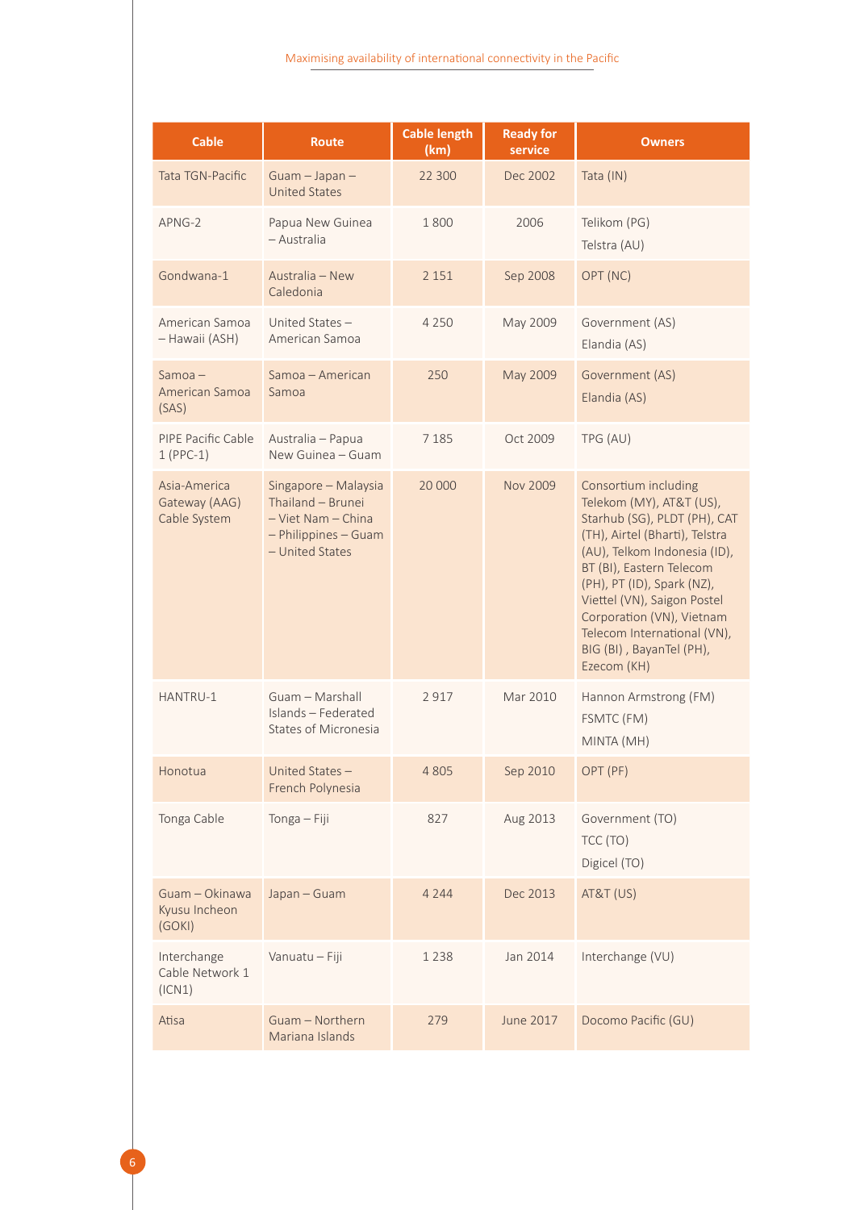| <b>Cable</b>                                  | <b>Route</b>                                                                                               | <b>Cable length</b><br>(km) | <b>Ready for</b><br>service | <b>Owners</b>                                                                                                                                                                                                                                                                                                                                      |
|-----------------------------------------------|------------------------------------------------------------------------------------------------------------|-----------------------------|-----------------------------|----------------------------------------------------------------------------------------------------------------------------------------------------------------------------------------------------------------------------------------------------------------------------------------------------------------------------------------------------|
| <b>Tata TGN-Pacific</b>                       | Guam - Japan -<br><b>United States</b>                                                                     | 22 300                      | Dec 2002                    | Tata (IN)                                                                                                                                                                                                                                                                                                                                          |
| APNG-2                                        | Papua New Guinea<br>– Australia                                                                            | 1800                        | 2006                        | Telikom (PG)<br>Telstra (AU)                                                                                                                                                                                                                                                                                                                       |
| Gondwana-1                                    | Australia - New<br>Caledonia                                                                               | 2 1 5 1                     | Sep 2008                    | OPT (NC)                                                                                                                                                                                                                                                                                                                                           |
| American Samoa<br>- Hawaii (ASH)              | United States-<br>American Samoa                                                                           | 4 2 5 0                     | May 2009                    | Government (AS)<br>Elandia (AS)                                                                                                                                                                                                                                                                                                                    |
| $Samoa -$<br>American Samoa<br>(SAS)          | Samoa – American<br>Samoa                                                                                  | 250                         | May 2009                    | Government (AS)<br>Elandia (AS)                                                                                                                                                                                                                                                                                                                    |
| PIPE Pacific Cable<br>$1(PPC-1)$              | Australia - Papua<br>New Guinea - Guam                                                                     | 7 1 8 5                     | Oct 2009                    | TPG (AU)                                                                                                                                                                                                                                                                                                                                           |
| Asia-America<br>Gateway (AAG)<br>Cable System | Singapore - Malaysia<br>Thailand - Brunei<br>- Viet Nam - China<br>- Philippines - Guam<br>- United States | 20 000                      | <b>Nov 2009</b>             | Consortium including<br>Telekom (MY), AT&T (US),<br>Starhub (SG), PLDT (PH), CAT<br>(TH), Airtel (Bharti), Telstra<br>(AU), Telkom Indonesia (ID),<br>BT (BI), Eastern Telecom<br>(PH), PT (ID), Spark (NZ),<br>Viettel (VN), Saigon Postel<br>Corporation (VN), Vietnam<br>Telecom International (VN),<br>BIG (BI), BayanTel (PH),<br>Ezecom (KH) |
| HANTRU-1                                      | Guam - Marshall<br>Islands - Federated<br><b>States of Micronesia</b>                                      | 2917                        | Mar 2010                    | Hannon Armstrong (FM)<br>FSMTC (FM)<br>MINTA (MH)                                                                                                                                                                                                                                                                                                  |
| Honotua                                       | United States-<br>French Polynesia                                                                         | 4 8 0 5                     | Sep 2010                    | OPT (PF)                                                                                                                                                                                                                                                                                                                                           |
| Tonga Cable                                   | Tonga - Fiji                                                                                               | 827                         | Aug 2013                    | Government (TO)<br>TCC (TO)<br>Digicel (TO)                                                                                                                                                                                                                                                                                                        |
| Guam - Okinawa<br>Kyusu Incheon<br>(GOKI)     | Japan - Guam                                                                                               | 4 2 4 4                     | Dec 2013                    | AT&T (US)                                                                                                                                                                                                                                                                                                                                          |
| Interchange<br>Cable Network 1<br>(ICN1)      | Vanuatu - Fiji                                                                                             | 1 2 3 8                     | Jan 2014                    | Interchange (VU)                                                                                                                                                                                                                                                                                                                                   |
| Atisa                                         | Guam - Northern<br>Mariana Islands                                                                         | 279                         | June 2017                   | Docomo Pacific (GU)                                                                                                                                                                                                                                                                                                                                |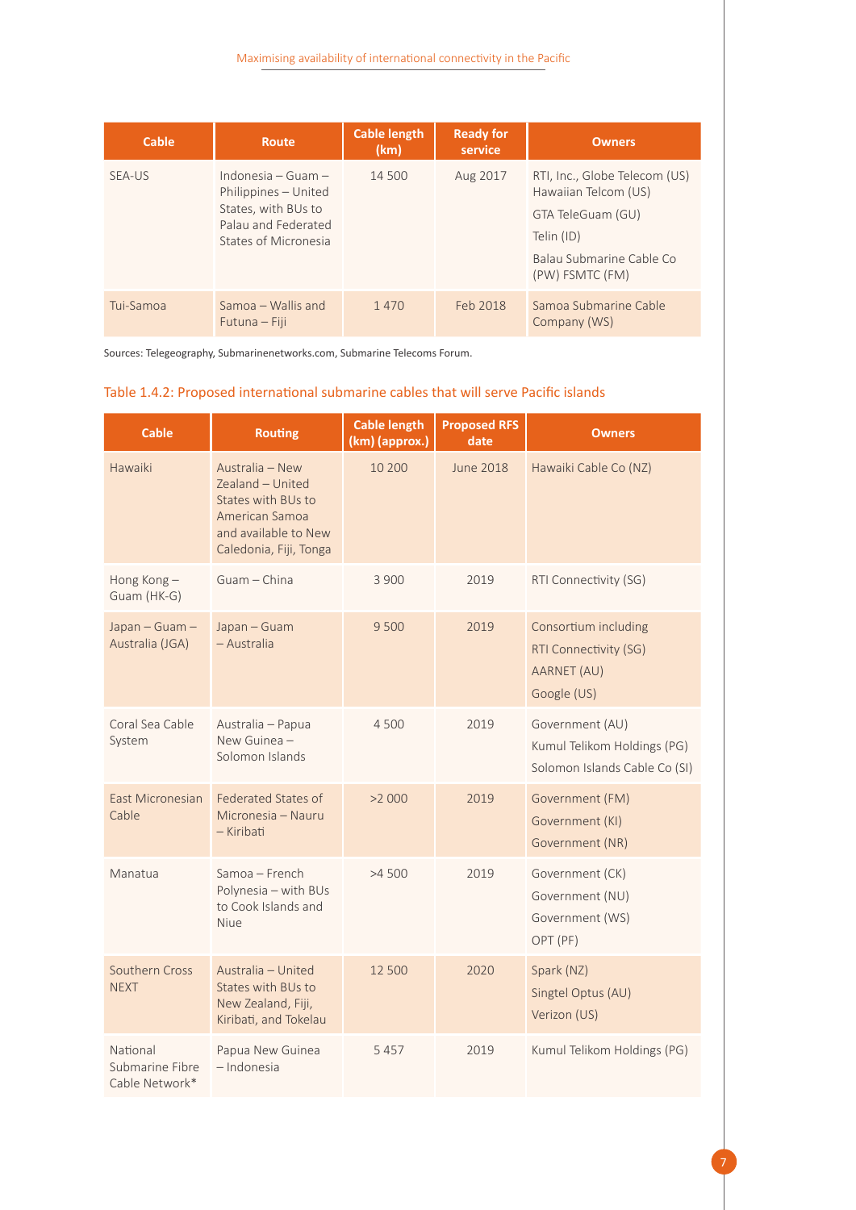| Cable     | <b>Route</b>                                                                                                         | <b>Cable length</b><br>(km) | <b>Ready for</b><br>service | <b>Owners</b>                                                                                                                           |
|-----------|----------------------------------------------------------------------------------------------------------------------|-----------------------------|-----------------------------|-----------------------------------------------------------------------------------------------------------------------------------------|
| SEA-US    | Indonesia $-$ Guam $-$<br>Philippines - United<br>States, with BUs to<br>Palau and Federated<br>States of Micronesia | 14 500                      | Aug 2017                    | RTI, Inc., Globe Telecom (US)<br>Hawaiian Telcom (US)<br>GTA TeleGuam (GU)<br>Telin (ID)<br>Balau Submarine Cable Co<br>(PW) FSMTC (FM) |
| Tui-Samoa | Samoa – Wallis and<br>Futuna – Fiji                                                                                  | 1 4 7 0                     | Feb 2018                    | Samoa Submarine Cable<br>Company (WS)                                                                                                   |

Sources: Telegeography, Submarinenetworks.com, Submarine Telecoms Forum.

#### <span id="page-12-0"></span>Table 1.4.2: Proposed international submarine cables that will serve Pacific islands

| <b>Cable</b>                                  | <b>Routing</b>                                                                                                                | <b>Cable length</b><br>(km) (approx.) | <b>Proposed RFS</b><br>date | <b>Owners</b>                                                                   |
|-----------------------------------------------|-------------------------------------------------------------------------------------------------------------------------------|---------------------------------------|-----------------------------|---------------------------------------------------------------------------------|
| Hawaiki                                       | Australia - New<br>Zealand - United<br>States with BUs to<br>American Samoa<br>and available to New<br>Caledonia, Fiji, Tonga | 10 200                                | June 2018                   | Hawaiki Cable Co (NZ)                                                           |
| Hong Kong-<br>Guam (HK-G)                     | Guam - China                                                                                                                  | 3 900                                 | 2019                        | RTI Connectivity (SG)                                                           |
| Japan - Guam -<br>Australia (JGA)             | Japan - Guam<br>- Australia                                                                                                   | 9500                                  | 2019                        | Consortium including<br>RTI Connectivity (SG)<br>AARNET (AU)<br>Google (US)     |
| Coral Sea Cable<br>System                     | Australia - Papua<br>New Guinea -<br>Solomon Islands                                                                          | 4500                                  | 2019                        | Government (AU)<br>Kumul Telikom Holdings (PG)<br>Solomon Islands Cable Co (SI) |
| East Micronesian<br>Cable                     | <b>Federated States of</b><br>Micronesia - Nauru<br>- Kiribati                                                                | >2000                                 | 2019                        | Government (FM)<br>Government (KI)<br>Government (NR)                           |
| Manatua                                       | Samoa - French<br>Polynesia - with BUs<br>to Cook Islands and<br><b>Niue</b>                                                  | >4500                                 | 2019                        | Government (CK)<br>Government (NU)<br>Government (WS)<br>OPT (PF)               |
| Southern Cross<br><b>NEXT</b>                 | Australia - United<br>States with BUs to<br>New Zealand, Fiji,<br>Kiribati, and Tokelau                                       | 12 500                                | 2020                        | Spark (NZ)<br>Singtel Optus (AU)<br>Verizon (US)                                |
| National<br>Submarine Fibre<br>Cable Network* | Papua New Guinea<br>- Indonesia                                                                                               | 5457                                  | 2019                        | Kumul Telikom Holdings (PG)                                                     |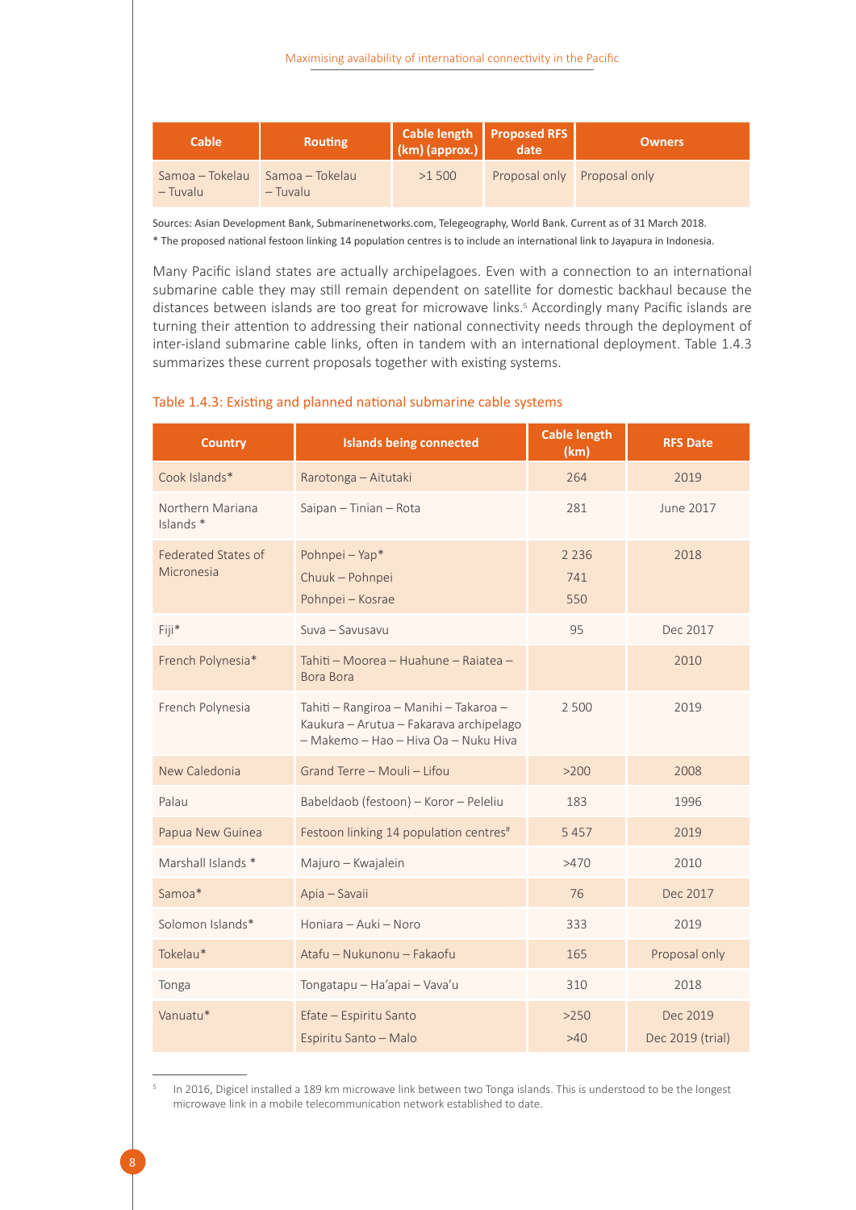

Maximising availability of international connectivity in the Pacific

Sources: Asian Development Bank, Submarinenetworks.com, Telegeography, World Bank. Current as of 31 March 2018. \* The proposed national festoon linking 14 population centres is to include an international link to Jayapura in Indonesia.

Many Pacific island states are actually archipelagoes. Even with a connection to an international submarine cable they may still remain dependent on satellite for domestic backhaul because the distances between islands are too great for microwave links.<sup>5</sup> Accordingly many Pacific islands are turning their attention to addressing their national connectivity needs through the deployment of inter-island submarine cable links, often in tandem with an international deployment. Table 1.4.3 summarizes these current proposals together with existing systems.

| <b>Country</b>                           | <b>Islands being connected</b>                                                                                            | <b>Cable length</b><br>(km) | <b>RFS Date</b>              |
|------------------------------------------|---------------------------------------------------------------------------------------------------------------------------|-----------------------------|------------------------------|
| Cook Islands*                            | Rarotonga - Aitutaki                                                                                                      | 264                         | 2019                         |
| Northern Mariana<br>Islands <sup>*</sup> | Saipan - Tinian - Rota                                                                                                    | 281                         | June 2017                    |
| <b>Federated States of</b><br>Micronesia | Pohnpei - Yap*<br>Chuuk - Pohnpei<br>Pohnpei - Kosrae                                                                     | 2 2 3 6<br>741<br>550       | 2018                         |
| Fiji*                                    | Suva - Savusavu                                                                                                           | 95                          | Dec 2017                     |
| French Polynesia*                        | Tahiti - Moorea - Huahune - Rajatea -<br><b>Bora Bora</b>                                                                 |                             | 2010                         |
| French Polynesia                         | Tahiti - Rangiroa - Manihi - Takaroa -<br>Kaukura - Arutua - Fakarava archipelago<br>- Makemo - Hao - Hiva Oa - Nuku Hiva | 2 500                       | 2019                         |
| New Caledonia                            | Grand Terre - Mouli - Lifou                                                                                               | >200                        | 2008                         |
| Palau                                    | Babeldaob (festoon) - Koror - Peleliu                                                                                     | 183                         | 1996                         |
| Papua New Guinea                         | Festoon linking 14 population centres <sup>#</sup>                                                                        | 5 4 5 7                     | 2019                         |
| Marshall Islands *                       | Majuro - Kwajalein                                                                                                        | >470                        | 2010                         |
| Samoa*                                   | Apia - Savaii                                                                                                             | 76                          | Dec 2017                     |
| Solomon Islands*                         | Honiara - Auki - Noro                                                                                                     | 333                         | 2019                         |
| Tokelau*                                 | Atafu - Nukunonu - Fakaofu                                                                                                | 165                         | Proposal only                |
| Tonga                                    | Tongatapu - Ha'apai - Vava'u                                                                                              | 310                         | 2018                         |
| Vanuatu*                                 | Efate - Espiritu Santo<br>Espiritu Santo - Malo                                                                           | >250<br>$>40$               | Dec 2019<br>Dec 2019 (trial) |

#### <span id="page-13-0"></span>Table 1.4.3: Existing and planned national submarine cable systems

In 2016, Digicel installed a 189 km microwave link between two Tonga islands. This is understood to be the longest microwave link in a mobile telecommunication network established to date.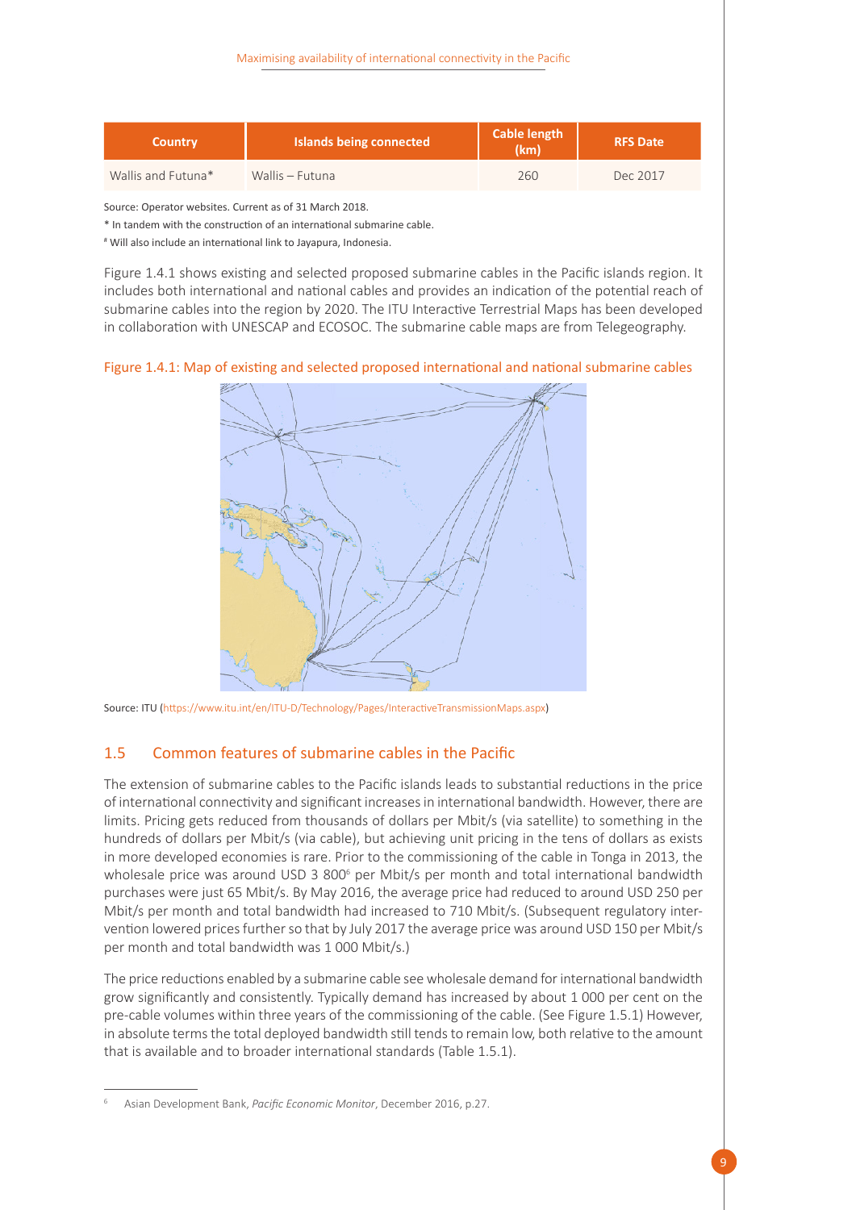| <b>Country</b>     | Islands being connected | <b>Cable length</b><br>(km) | <b>RFS Date</b> |
|--------------------|-------------------------|-----------------------------|-----------------|
| Wallis and Futuna* | Wallis - Futuna         | 260                         | Dec 2017        |

Source: Operator websites. Current as of 31 March 2018.

\* In tandem with the construction of an international submarine cable.

# Will also include an international link to Jayapura, Indonesia.

Figure 1.4.1 shows existing and selected proposed submarine cables in the Pacific islands region. It includes both international and national cables and provides an indication of the potential reach of submarine cables into the region by 2020. The ITU Interactive Terrestrial Maps has been developed in collaboration with UNESCAP and ECOSOC. The submarine cable maps are from Telegeography.

<span id="page-14-1"></span>Figure 1.4.1: Map of existing and selected proposed international and national submarine cables



Source: ITU (https://www.itu.int/en/ITU-D/Technology/Pages/InteractiveTransmissionMaps.aspx)

#### <span id="page-14-0"></span>1.5 Common features of submarine cables in the Pacific

The extension of submarine cables to the Pacific islands leads to substantial reductions in the price of international connectivity and significant increases in international bandwidth. However, there are limits. Pricing gets reduced from thousands of dollars per Mbit/s (via satellite) to something in the hundreds of dollars per Mbit/s (via cable), but achieving unit pricing in the tens of dollars as exists in more developed economies is rare. Prior to the commissioning of the cable in Tonga in 2013, the wholesale price was around USD 3 800<sup>6</sup> per Mbit/s per month and total international bandwidth purchases were just 65 Mbit/s. By May 2016, the average price had reduced to around USD 250 per Mbit/s per month and total bandwidth had increased to 710 Mbit/s. (Subsequent regulatory intervention lowered prices further so that by July 2017 the average price was around USD 150 per Mbit/s per month and total bandwidth was 1 000 Mbit/s.)

The price reductions enabled by a submarine cable see wholesale demand for international bandwidth grow significantly and consistently. Typically demand has increased by about 1 000 per cent on the pre-cable volumes within three years of the commissioning of the cable. (See Figure 1.5.1) However, in absolute terms the total deployed bandwidth still tends to remain low, both relative to the amount that is available and to broader international standards (Table 1.5.1).

<sup>6</sup> Asian Development Bank, *Pacific Economic Monitor*, December 2016, p.27.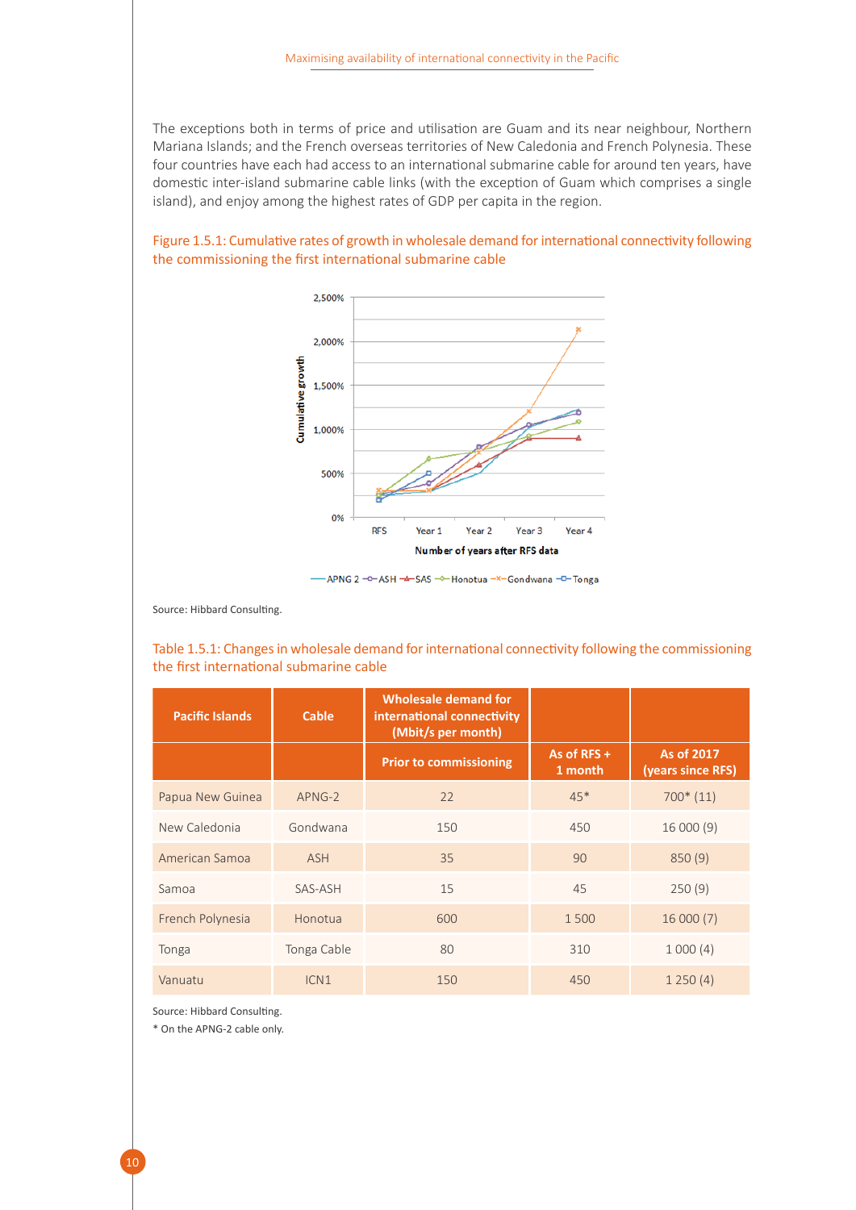The exceptions both in terms of price and utilisation are Guam and its near neighbour, Northern Mariana Islands; and the French overseas territories of New Caledonia and French Polynesia. These four countries have each had access to an international submarine cable for around ten years, have domestic inter-island submarine cable links (with the exception of Guam which comprises a single island), and enjoy among the highest rates of GDP per capita in the region.

<span id="page-15-1"></span>



-APNG 2 - 0-ASH - 4-SAS - 0-Honotua - x-Gondwana - D-Tonga

Source: Hibbard Consulting.

<span id="page-15-0"></span>Table 1.5.1: Changes in wholesale demand for international connectivity following the commissioning the first international submarine cable

| <b>Pacific Islands</b> | Cable            | Wholesale demand for<br>international connectivity<br>(Mbit/s per month) |                          |                                 |
|------------------------|------------------|--------------------------------------------------------------------------|--------------------------|---------------------------------|
|                        |                  | <b>Prior to commissioning</b>                                            | As of $RFS +$<br>1 month | As of 2017<br>(years since RFS) |
| Papua New Guinea       | APNG-2           | 22                                                                       | $45*$                    | $700*(11)$                      |
| New Caledonia          | Gondwana         | 150                                                                      | 450                      | 16000(9)                        |
| American Samoa         | <b>ASH</b>       | 35                                                                       | 90                       | 850(9)                          |
| Samoa                  | SAS-ASH          | 15                                                                       | 45                       | 250(9)                          |
| French Polynesia       | Honotua          | 600                                                                      | 1500                     | 16000(7)                        |
| Tonga                  | Tonga Cable      | 80                                                                       | 310                      | 1000(4)                         |
| Vanuatu                | ICN <sub>1</sub> | 150                                                                      | 450                      | 1250(4)                         |

Source: Hibbard Consulting.

\* On the APNG-2 cable only.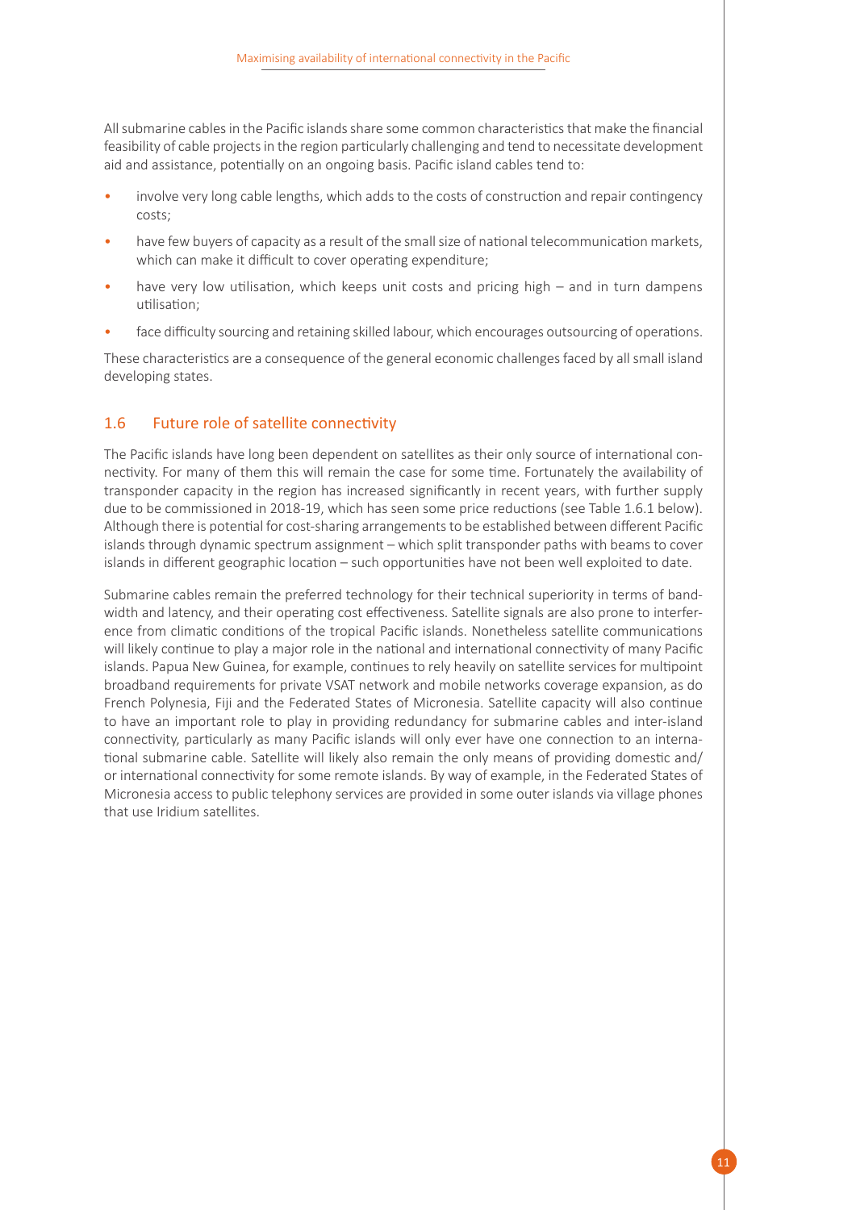All submarine cables in the Pacific islands share some common characteristics that make the financial feasibility of cable projects in the region particularly challenging and tend to necessitate development aid and assistance, potentially on an ongoing basis. Pacific island cables tend to:

- involve very long cable lengths, which adds to the costs of construction and repair contingency costs;
- have few buyers of capacity as a result of the small size of national telecommunication markets, which can make it difficult to cover operating expenditure;
- have very low utilisation, which keeps unit costs and pricing high and in turn dampens utilisation;
- face difficulty sourcing and retaining skilled labour, which encourages outsourcing of operations.

These characteristics are a consequence of the general economic challenges faced by all small island developing states.

#### <span id="page-16-0"></span>1.6 Future role of satellite connectivity

The Pacific islands have long been dependent on satellites as their only source of international connectivity. For many of them this will remain the case for some time. Fortunately the availability of transponder capacity in the region has increased significantly in recent years, with further supply due to be commissioned in 2018-19, which has seen some price reductions (see Table 1.6.1 below). Although there is potential for cost-sharing arrangements to be established between different Pacific islands through dynamic spectrum assignment – which split transponder paths with beams to cover islands in different geographic location – such opportunities have not been well exploited to date.

Submarine cables remain the preferred technology for their technical superiority in terms of bandwidth and latency, and their operating cost effectiveness. Satellite signals are also prone to interference from climatic conditions of the tropical Pacific islands. Nonetheless satellite communications will likely continue to play a major role in the national and international connectivity of many Pacific islands. Papua New Guinea, for example, continues to rely heavily on satellite services for multipoint broadband requirements for private VSAT network and mobile networks coverage expansion, as do French Polynesia, Fiji and the Federated States of Micronesia. Satellite capacity will also continue to have an important role to play in providing redundancy for submarine cables and inter-island connectivity, particularly as many Pacific islands will only ever have one connection to an international submarine cable. Satellite will likely also remain the only means of providing domestic and/ or international connectivity for some remote islands. By way of example, in the Federated States of Micronesia access to public telephony services are provided in some outer islands via village phones that use Iridium satellites.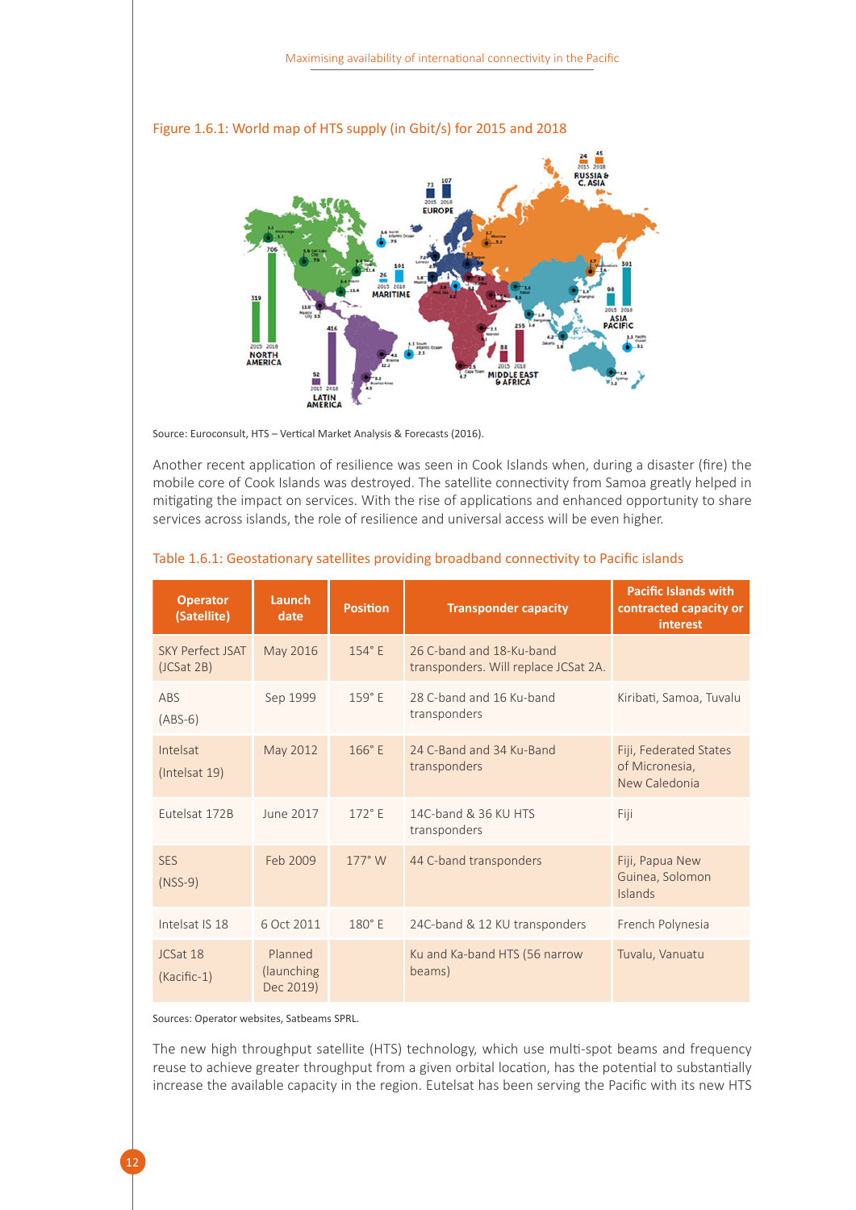

#### <span id="page-17-1"></span>Figure 1.6.1: World map of HTS supply (in Gbit/s) for 2015 and 2018

Source: Euroconsult, HTS – Vertical Market Analysis & Forecasts (2016).

Another recent application of resilience was seen in Cook Islands when, during a disaster (fire) the mobile core of Cook Islands was destroyed. The satellite connectivity from Samoa greatly helped in mitigating the impact on services. With the rise of applications and enhanced opportunity to share services across islands, the role of resilience and universal access will be even higher.

| <b>Operator</b><br>(Satellite)        | Launch<br>date                     | <b>Position</b> | <b>Transponder capacity</b>                                      | <b>Pacific Islands with</b><br>contracted capacity or<br>interest |
|---------------------------------------|------------------------------------|-----------------|------------------------------------------------------------------|-------------------------------------------------------------------|
| <b>SKY Perfect ISAT</b><br>(JCSat 2B) | May 2016                           | 154°E           | 26 C-band and 18-Ku-band<br>transponders. Will replace JCSat 2A. |                                                                   |
| ABS<br>$(ABS-6)$                      | Sep 1999                           | 159° E          | 28 C-band and 16 Ku-band<br>transponders                         | Kiribati, Samoa, Tuvalu                                           |
| Intelsat<br>(Intelsat 19)             | May 2012                           | $166°$ E        | 24 C-Band and 34 Ku-Band<br>transponders                         | Fiji, Federated States<br>of Micronesia,<br>New Caledonia         |
| Eutelsat 172B                         | June 2017                          | $172°$ F        | 14C-band & 36 KU HTS<br>transponders                             | Fiji                                                              |
| <b>SES</b><br>$(NSS-9)$               | Feb 2009                           | $177^\circ$ W   | 44 C-band transponders                                           | Fiji, Papua New<br>Guinea, Solomon<br>Islands                     |
| Intelsat IS 18                        | 6 Oct 2011                         | $180^\circ$ E   | 24C-band & 12 KU transponders                                    | French Polynesia                                                  |
| ICSat 18<br>(Kacific-1)               | Planned<br>(launching<br>Dec 2019) |                 | Ku and Ka-band HTS (56 narrow<br>beams)                          | Tuvalu, Vanuatu                                                   |

#### <span id="page-17-0"></span>Table 1.6.1: Geostationary satellites providing broadband connectivity to Pacific islands

Sources: Operator websites, Satbeams SPRL.

The new high throughput satellite (HTS) technology, which use multi-spot beams and frequency reuse to achieve greater throughput from a given orbital location, has the potential to substantially increase the available capacity in the region. Eutelsat has been serving the Pacific with its new HTS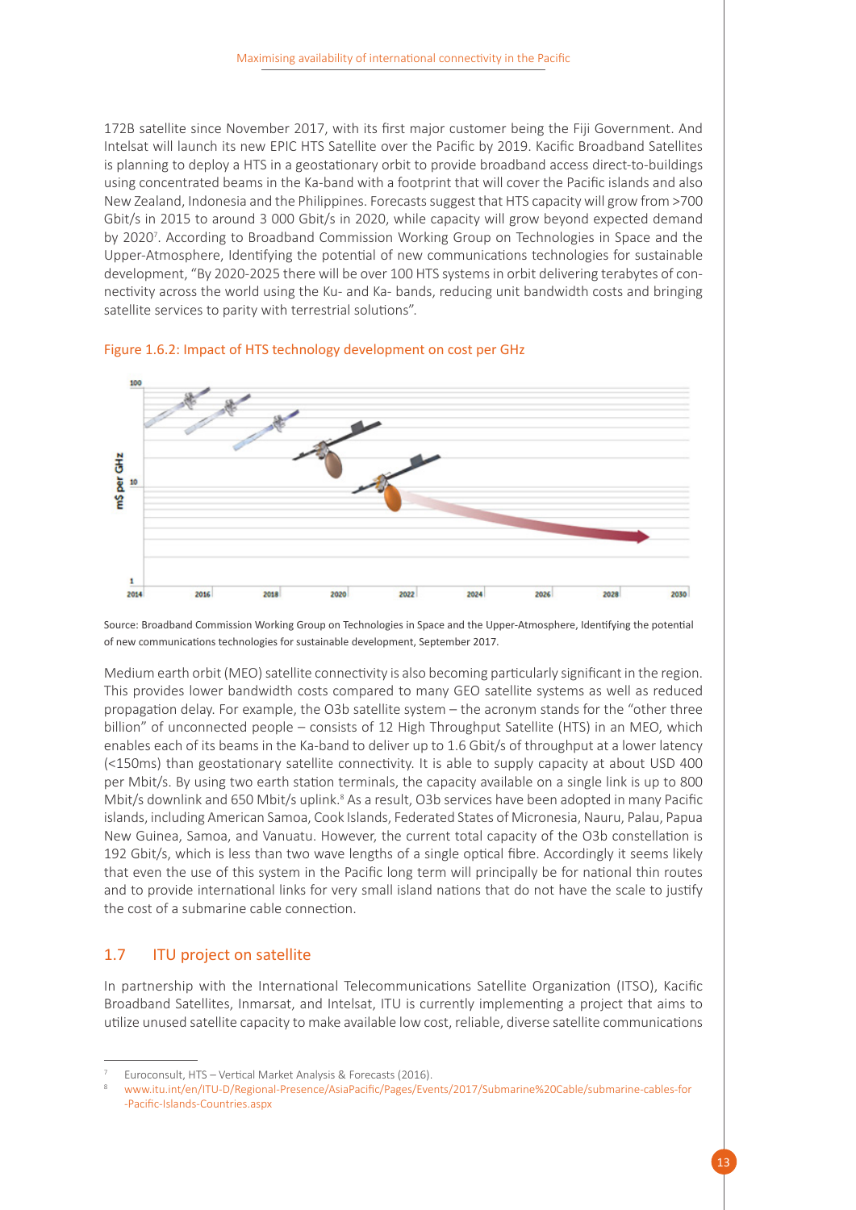172B satellite since November 2017, with its first major customer being the Fiji Government. And Intelsat will launch its new EPIC HTS Satellite over the Pacific by 2019. Kacific Broadband Satellites is planning to deploy a HTS in a geostationary orbit to provide broadband access direct-to-buildings using concentrated beams in the Ka-band with a footprint that will cover the Pacific islands and also New Zealand, Indonesia and the Philippines. Forecasts suggest that HTS capacity will grow from >700 Gbit/s in 2015 to around 3 000 Gbit/s in 2020, while capacity will grow beyond expected demand by 2020<sup>7</sup>. According to Broadband Commission Working Group on Technologies in Space and the Upper-Atmosphere, Identifying the potential of new communications technologies for sustainable development, "By 2020-2025 there will be over 100 HTS systems in orbit delivering terabytes of connectivity across the world using the Ku- and Ka- bands, reducing unit bandwidth costs and bringing satellite services to parity with terrestrial solutions".



<span id="page-18-1"></span>

Source: Broadband Commission Working Group on Technologies in Space and the Upper-Atmosphere, Identifying the potential of new communications technologies for sustainable development, September 2017.

Medium earth orbit (MEO) satellite connectivity is also becoming particularly significant in the region. This provides lower bandwidth costs compared to many GEO satellite systems as well as reduced propagation delay. For example, the O3b satellite system – the acronym stands for the "other three billion" of unconnected people – consists of 12 High Throughput Satellite (HTS) in an MEO, which enables each of its beams in the Ka-band to deliver up to 1.6 Gbit/s of throughput at a lower latency (<150ms) than geostationary satellite connectivity. It is able to supply capacity at about USD 400 per Mbit/s. By using two earth station terminals, the capacity available on a single link is up to 800 Mbit/s downlink and 650 Mbit/s uplink.<sup>8</sup> As a result, O3b services have been adopted in many Pacific islands, including American Samoa, Cook Islands, Federated States of Micronesia, Nauru, Palau, Papua New Guinea, Samoa, and Vanuatu. However, the current total capacity of the O3b constellation is 192 Gbit/s, which is less than two wave lengths of a single optical fibre. Accordingly it seems likely that even the use of this system in the Pacific long term will principally be for national thin routes and to provide international links for very small island nations that do not have the scale to justify the cost of a submarine cable connection.

#### <span id="page-18-0"></span>1.7 ITU project on satellite

In partnership with the International Telecommunications Satellite Organization (ITSO), Kacific Broadband Satellites, Inmarsat, and Intelsat, ITU is currently implementing a project that aims to utilize unused satellite capacity to make available low cost, reliable, diverse satellite communications

<sup>7</sup> Euroconsult, HTS – Vertical Market Analysis & Forecasts (2016).

<sup>8</sup> [www.itu.int/en/ITU-D/Regional-Presence/AsiaPacific/Pages/Events/2017/Submarine%20Cable/submarine-cables-for](http://www.itu.int/en/ITU-D/Regional-Presence/AsiaPacific/Pages/Events/2017/Submarine%20Cable/submarine-cables-for-Pacific-Islands-Countries.aspx) [-Pacific-Islands-Countries.aspx](http://www.itu.int/en/ITU-D/Regional-Presence/AsiaPacific/Pages/Events/2017/Submarine%20Cable/submarine-cables-for-Pacific-Islands-Countries.aspx)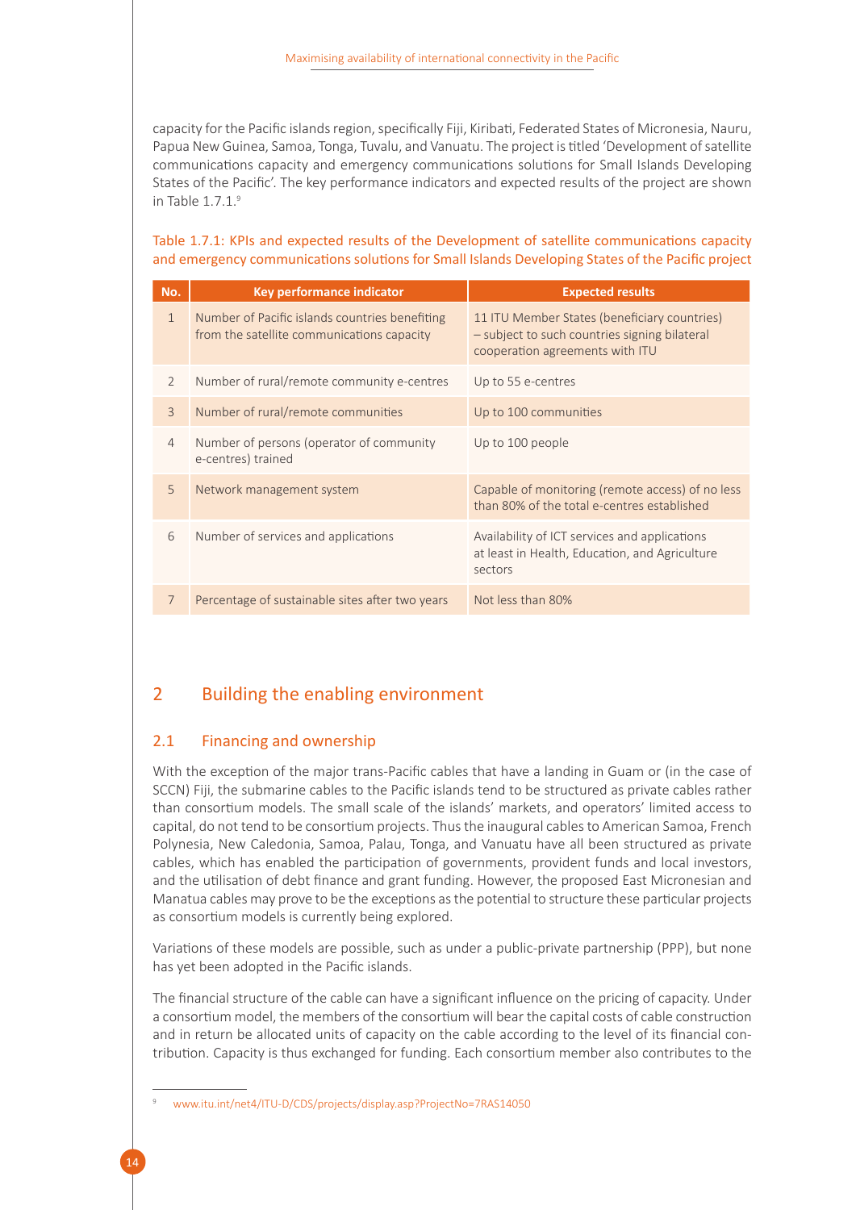capacity for the Pacific islands region, specifically Fiji, Kiribati, Federated States of Micronesia, Nauru, Papua New Guinea, Samoa, Tonga, Tuvalu, and Vanuatu. The project is titled 'Development of satellite communications capacity and emergency communications solutions for Small Islands Developing States of the Pacific'. The key performance indicators and expected results of the project are shown in Table 1.7.1.<sup>9</sup>

#### <span id="page-19-2"></span>Table 1.7.1: KPIs and expected results of the Development of satellite communications capacity and emergency communications solutions for Small Islands Developing States of the Pacific project

| No.            | Key performance indicator                                                                    | <b>Expected results</b>                                                                                                          |
|----------------|----------------------------------------------------------------------------------------------|----------------------------------------------------------------------------------------------------------------------------------|
| $\mathbf{1}$   | Number of Pacific islands countries benefiting<br>from the satellite communications capacity | 11 ITU Member States (beneficiary countries)<br>- subject to such countries signing bilateral<br>cooperation agreements with ITU |
| $\overline{2}$ | Number of rural/remote community e-centres                                                   | Up to 55 e-centres                                                                                                               |
| $\overline{3}$ | Number of rural/remote communities                                                           | Up to 100 communities                                                                                                            |
| $\overline{4}$ | Number of persons (operator of community<br>e-centres) trained                               | Up to 100 people                                                                                                                 |
| 5              | Network management system                                                                    | Capable of monitoring (remote access) of no less<br>than 80% of the total e-centres established                                  |
| 6              | Number of services and applications                                                          | Availability of ICT services and applications<br>at least in Health, Education, and Agriculture<br>sectors                       |
| $\overline{7}$ | Percentage of sustainable sites after two years                                              | Not less than 80%                                                                                                                |

### <span id="page-19-0"></span>2 Building the enabling environment

#### <span id="page-19-1"></span>2.1 Financing and ownership

With the exception of the major trans-Pacific cables that have a landing in Guam or (in the case of SCCN) Fiji, the submarine cables to the Pacific islands tend to be structured as private cables rather than consortium models. The small scale of the islands' markets, and operators' limited access to capital, do not tend to be consortium projects. Thus the inaugural cables to American Samoa, French Polynesia, New Caledonia, Samoa, Palau, Tonga, and Vanuatu have all been structured as private cables, which has enabled the participation of governments, provident funds and local investors, and the utilisation of debt finance and grant funding. However, the proposed East Micronesian and Manatua cables may prove to be the exceptions as the potential to structure these particular projects as consortium models is currently being explored.

Variations of these models are possible, such as under a public-private partnership (PPP), but none has yet been adopted in the Pacific islands.

The financial structure of the cable can have a significant influence on the pricing of capacity. Under a consortium model, the members of the consortium will bear the capital costs of cable construction and in return be allocated units of capacity on the cable according to the level of its financial contribution. Capacity is thus exchanged for funding. Each consortium member also contributes to the

<sup>9</sup> [www.itu.int/net4/ITU-D/CDS/projects/display.asp?ProjectNo=7RAS14050](http://www.itu.int/net4/ITU-D/CDS/projects/display.asp?ProjectNo=7RAS14050)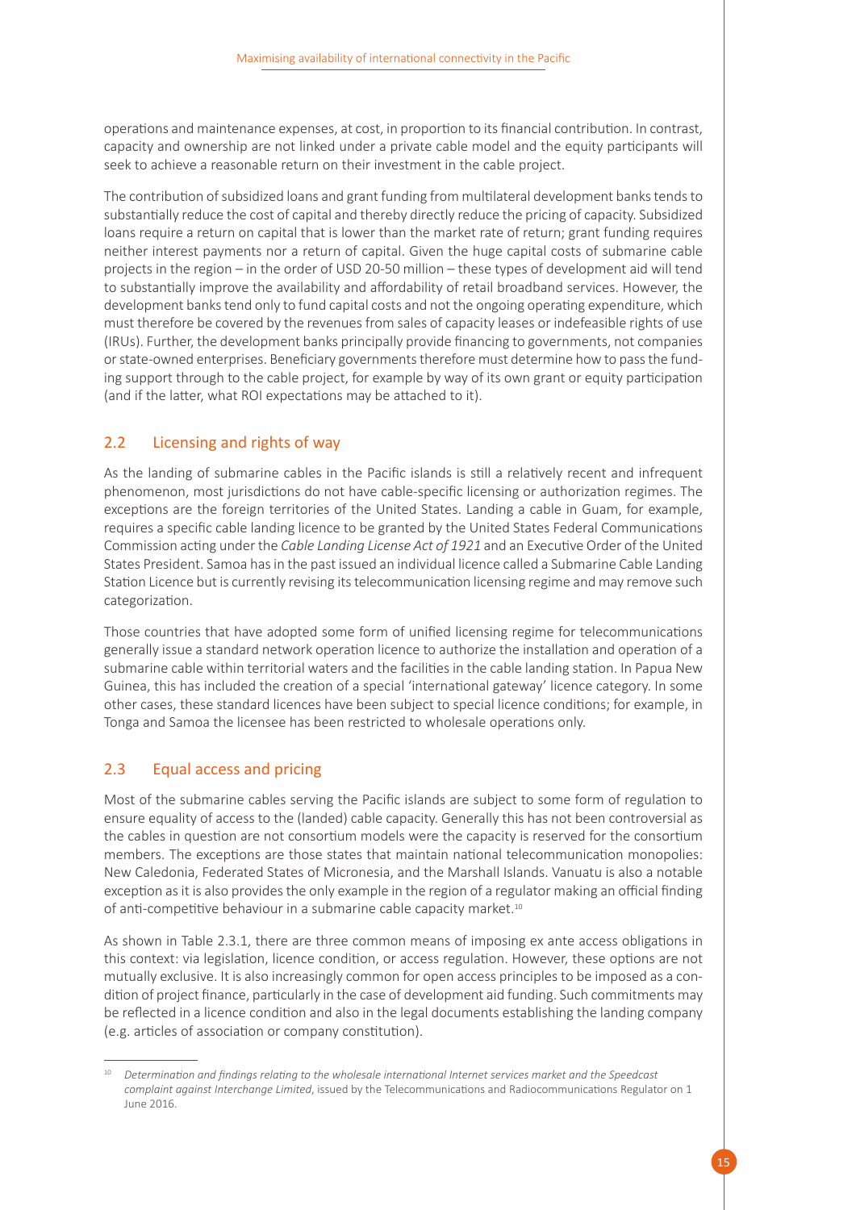operations and maintenance expenses, at cost, in proportion to its financial contribution. In contrast, capacity and ownership are not linked under a private cable model and the equity participants will seek to achieve a reasonable return on their investment in the cable project.

The contribution of subsidized loans and grant funding from multilateral development banks tends to substantially reduce the cost of capital and thereby directly reduce the pricing of capacity. Subsidized loans require a return on capital that is lower than the market rate of return; grant funding requires neither interest payments nor a return of capital. Given the huge capital costs of submarine cable projects in the region – in the order of USD 20-50 million – these types of development aid will tend to substantially improve the availability and affordability of retail broadband services. However, the development banks tend only to fund capital costs and not the ongoing operating expenditure, which must therefore be covered by the revenues from sales of capacity leases or indefeasible rights of use (IRUs). Further, the development banks principally provide financing to governments, not companies or state-owned enterprises. Beneficiary governments therefore must determine how to pass the funding support through to the cable project, for example by way of its own grant or equity participation (and if the latter, what ROI expectations may be attached to it).

#### <span id="page-20-0"></span>2.2 Licensing and rights of way

As the landing of submarine cables in the Pacific islands is still a relatively recent and infrequent phenomenon, most jurisdictions do not have cable-specific licensing or authorization regimes. The exceptions are the foreign territories of the United States. Landing a cable in Guam, for example, requires a specific cable landing licence to be granted by the United States Federal Communications Commission acting under the *Cable Landing License Act of 1921* and an Executive Order of the United States President. Samoa has in the past issued an individual licence called a Submarine Cable Landing Station Licence but is currently revising its telecommunication licensing regime and may remove such categorization.

Those countries that have adopted some form of unified licensing regime for telecommunications generally issue a standard network operation licence to authorize the installation and operation of a submarine cable within territorial waters and the facilities in the cable landing station. In Papua New Guinea, this has included the creation of a special 'international gateway' licence category. In some other cases, these standard licences have been subject to special licence conditions; for example, in Tonga and Samoa the licensee has been restricted to wholesale operations only.

#### <span id="page-20-1"></span>2.3 Equal access and pricing

Most of the submarine cables serving the Pacific islands are subject to some form of regulation to ensure equality of access to the (landed) cable capacity. Generally this has not been controversial as the cables in question are not consortium models were the capacity is reserved for the consortium members. The exceptions are those states that maintain national telecommunication monopolies: New Caledonia, Federated States of Micronesia, and the Marshall Islands. Vanuatu is also a notable exception as it is also provides the only example in the region of a regulator making an official finding of anti-competitive behaviour in a submarine cable capacity market.<sup>10</sup>

As shown in Table 2.3.1, there are three common means of imposing ex ante access obligations in this context: via legislation, licence condition, or access regulation. However, these options are not mutually exclusive. It is also increasingly common for open access principles to be imposed as a condition of project finance, particularly in the case of development aid funding. Such commitments may be reflected in a licence condition and also in the legal documents establishing the landing company (e.g. articles of association or company constitution).

<sup>10</sup> *Determination and findings relating to the wholesale international Internet services market and the Speedcast complaint against Interchange Limited*, issued by the Telecommunications and Radiocommunications Regulator on 1 June 2016.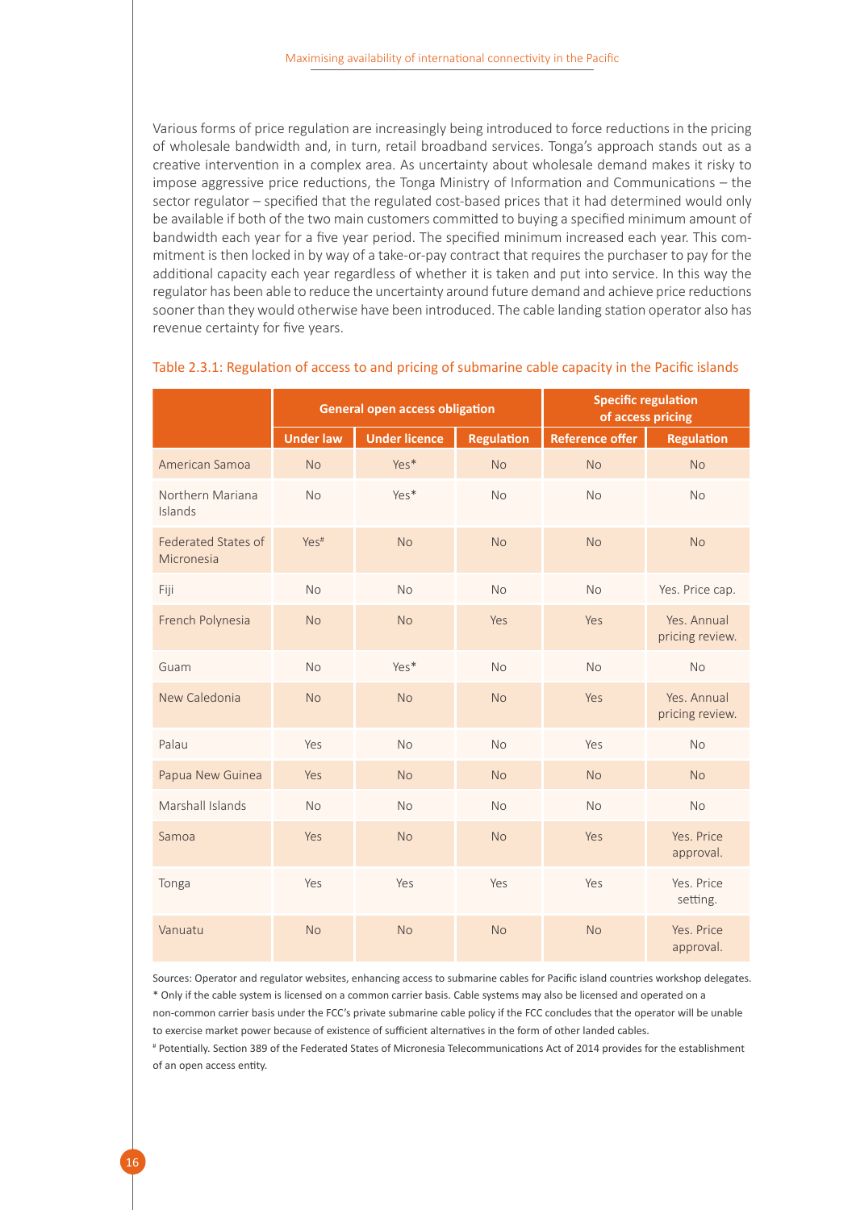Various forms of price regulation are increasingly being introduced to force reductions in the pricing of wholesale bandwidth and, in turn, retail broadband services. Tonga's approach stands out as a creative intervention in a complex area. As uncertainty about wholesale demand makes it risky to impose aggressive price reductions, the Tonga Ministry of Information and Communications – the sector regulator – specified that the regulated cost-based prices that it had determined would only be available if both of the two main customers committed to buying a specified minimum amount of bandwidth each year for a five year period. The specified minimum increased each year. This commitment is then locked in by way of a take-or-pay contract that requires the purchaser to pay for the additional capacity each year regardless of whether it is taken and put into service. In this way the regulator has been able to reduce the uncertainty around future demand and achieve price reductions sooner than they would otherwise have been introduced. The cable landing station operator also has revenue certainty for five years.

|                                   | <b>General open access obligation</b> |                      |                   |                        | <b>Specific regulation</b><br>of access pricing |
|-----------------------------------|---------------------------------------|----------------------|-------------------|------------------------|-------------------------------------------------|
|                                   | <b>Under law</b>                      | <b>Under licence</b> | <b>Regulation</b> | <b>Reference offer</b> | <b>Regulation</b>                               |
| American Samoa                    | <b>No</b>                             | Yes*                 | <b>No</b>         | <b>No</b>              | <b>No</b>                                       |
| Northern Mariana<br>Islands       | <b>No</b>                             | Yes*                 | <b>No</b>         | <b>No</b>              | <b>No</b>                                       |
| Federated States of<br>Micronesia | Yes <sup>#</sup>                      | No                   | <b>No</b>         | <b>No</b>              | <b>No</b>                                       |
| Fiji                              | <b>No</b>                             | <b>No</b>            | <b>No</b>         | <b>No</b>              | Yes. Price cap.                                 |
| French Polynesia                  | <b>No</b>                             | <b>No</b>            | Yes               | Yes                    | Yes. Annual<br>pricing review.                  |
| Guam                              | <b>No</b>                             | Yes*                 | <b>No</b>         | <b>No</b>              | <b>No</b>                                       |
| New Caledonia                     | <b>No</b>                             | <b>No</b>            | <b>No</b>         | Yes                    | Yes, Annual<br>pricing review.                  |
| Palau                             | Yes                                   | <b>No</b>            | <b>No</b>         | Yes                    | <b>No</b>                                       |
| Papua New Guinea                  | Yes                                   | <b>No</b>            | <b>No</b>         | <b>No</b>              | <b>No</b>                                       |
| Marshall Islands                  | <b>No</b>                             | <b>No</b>            | <b>No</b>         | <b>No</b>              | <b>No</b>                                       |
| Samoa                             | Yes                                   | <b>No</b>            | <b>No</b>         | Yes                    | Yes. Price<br>approval.                         |
| Tonga                             | Yes                                   | Yes                  | Yes               | Yes                    | Yes, Price<br>setting.                          |
| Vanuatu                           | <b>No</b>                             | No                   | <b>No</b>         | <b>No</b>              | Yes, Price<br>approval.                         |

#### <span id="page-21-0"></span>Table 2.3.1: Regulation of access to and pricing of submarine cable capacity in the Pacific islands

Sources: Operator and regulator websites, enhancing access to submarine cables for Pacific island countries workshop delegates. \* Only if the cable system is licensed on a common carrier basis. Cable systems may also be licensed and operated on a non-common carrier basis under the FCC's private submarine cable policy if the FCC concludes that the operator will be unable to exercise market power because of existence of sufficient alternatives in the form of other landed cables.

# Potentially. Section 389 of the Federated States of Micronesia Telecommunications Act of 2014 provides for the establishment of an open access entity.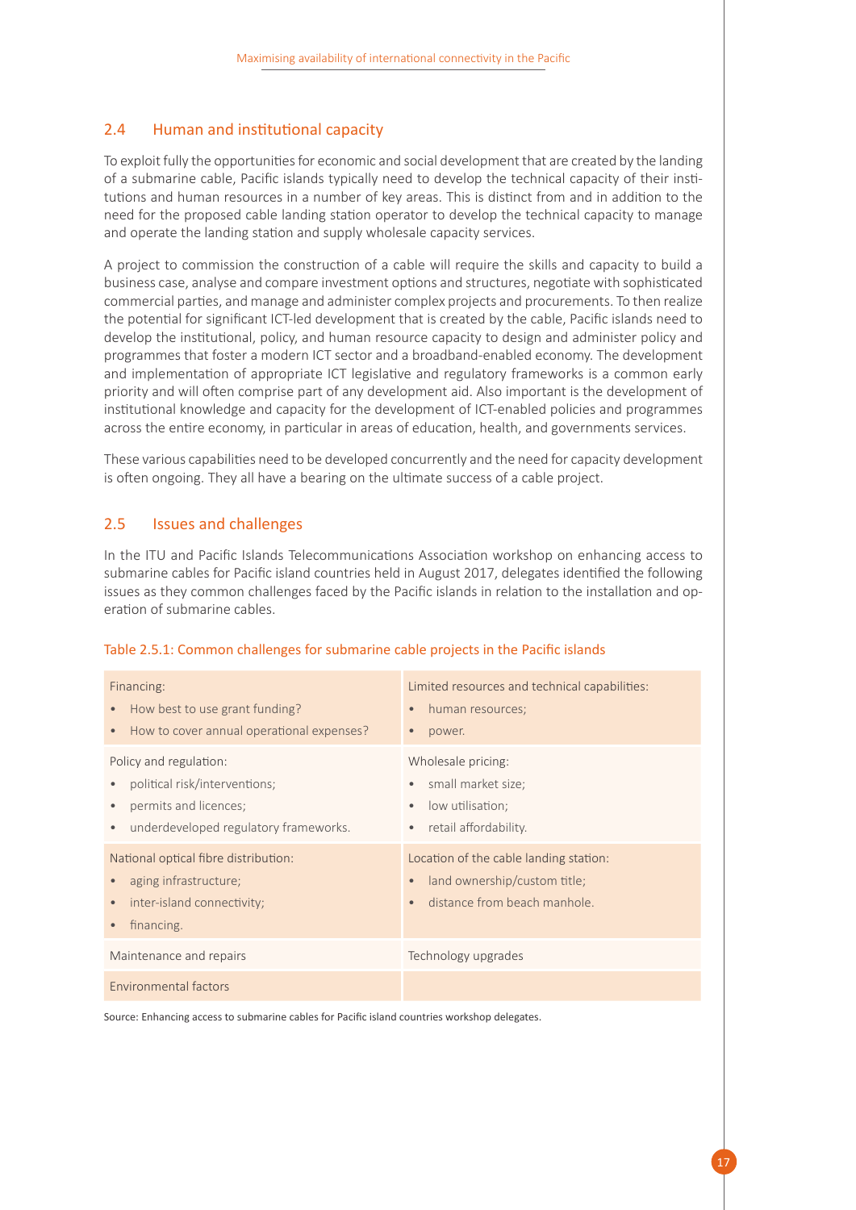#### <span id="page-22-0"></span>2.4 Human and institutional capacity

To exploit fully the opportunities for economic and social development that are created by the landing of a submarine cable, Pacific islands typically need to develop the technical capacity of their institutions and human resources in a number of key areas. This is distinct from and in addition to the need for the proposed cable landing station operator to develop the technical capacity to manage and operate the landing station and supply wholesale capacity services.

A project to commission the construction of a cable will require the skills and capacity to build a business case, analyse and compare investment options and structures, negotiate with sophisticated commercial parties, and manage and administer complex projects and procurements. To then realize the potential for significant ICT-led development that is created by the cable, Pacific islands need to develop the institutional, policy, and human resource capacity to design and administer policy and programmes that foster a modern ICT sector and a broadband-enabled economy. The development and implementation of appropriate ICT legislative and regulatory frameworks is a common early priority and will often comprise part of any development aid. Also important is the development of institutional knowledge and capacity for the development of ICT-enabled policies and programmes across the entire economy, in particular in areas of education, health, and governments services.

These various capabilities need to be developed concurrently and the need for capacity development is often ongoing. They all have a bearing on the ultimate success of a cable project.

#### <span id="page-22-1"></span>2.5 Issues and challenges

In the ITU and Pacific Islands Telecommunications Association workshop on enhancing access to submarine cables for Pacific island countries held in August 2017, delegates identified the following issues as they common challenges faced by the Pacific islands in relation to the installation and operation of submarine cables.

| Financing:<br>How best to use grant funding?<br>$\bullet$<br>How to cover annual operational expenses?<br>$\bullet$                    | Limited resources and technical capabilities:<br>human resources;<br>$\bullet$<br>power.<br>$\bullet$                            |
|----------------------------------------------------------------------------------------------------------------------------------------|----------------------------------------------------------------------------------------------------------------------------------|
| Policy and regulation:<br>political risk/interventions;<br>permits and licences;<br>underdeveloped regulatory frameworks.<br>$\bullet$ | Wholesale pricing:<br>small market size;<br>$\bullet$<br>low utilisation;<br>٠<br>retail affordability.                          |
| National optical fibre distribution:<br>aging infrastructure;<br>inter-island connectivity;<br>$\bullet$<br>financing.<br>$\bullet$    | Location of the cable landing station:<br>land ownership/custom title;<br>$\bullet$<br>distance from beach manhole.<br>$\bullet$ |
| Maintenance and repairs                                                                                                                | Technology upgrades                                                                                                              |
| Environmental factors                                                                                                                  |                                                                                                                                  |

#### <span id="page-22-2"></span>Table 2.5.1: Common challenges for submarine cable projects in the Pacific islands

Source: Enhancing access to submarine cables for Pacific island countries workshop delegates.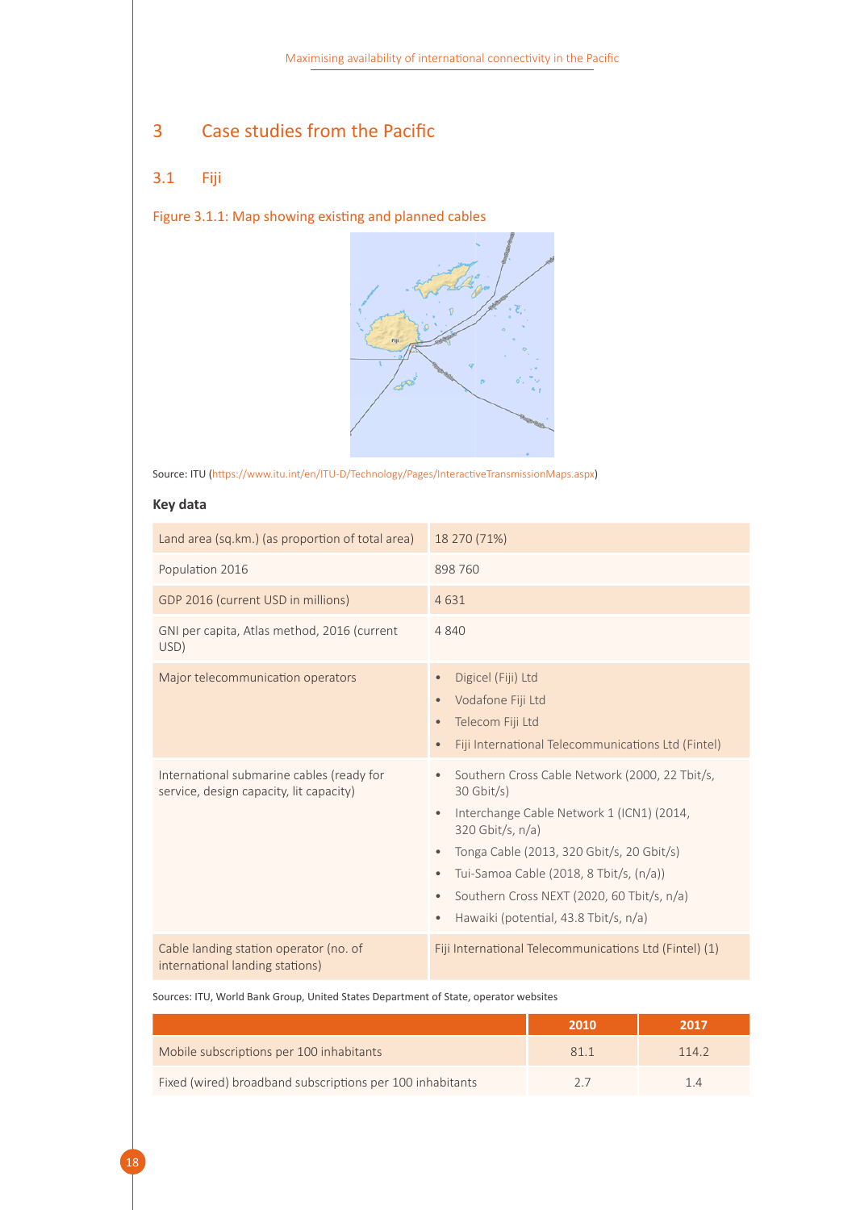## <span id="page-23-0"></span>3 Case studies from the Pacific

### <span id="page-23-1"></span>3.1 Fiji

<span id="page-23-2"></span>Figure 3.1.1: Map showing existing and planned cables



Source: ITU (https://www.itu.int/en/ITU-D/Technology/Pages/InteractiveTransmissionMaps.aspx)

#### **Key data**

18

| Land area (sq.km.) (as proportion of total area)                                     | 18 270 (71%)                                                                                                                                                                                                                                                                                                                                                                         |  |  |
|--------------------------------------------------------------------------------------|--------------------------------------------------------------------------------------------------------------------------------------------------------------------------------------------------------------------------------------------------------------------------------------------------------------------------------------------------------------------------------------|--|--|
| Population 2016                                                                      | 898 760                                                                                                                                                                                                                                                                                                                                                                              |  |  |
| GDP 2016 (current USD in millions)                                                   | 4631                                                                                                                                                                                                                                                                                                                                                                                 |  |  |
| GNI per capita, Atlas method, 2016 (current<br>USD)                                  | 4 8 4 0                                                                                                                                                                                                                                                                                                                                                                              |  |  |
| Major telecommunication operators                                                    | Digicel (Fiji) Ltd<br>$\bullet$<br>Vodafone Fiji Ltd<br>Telecom Fiji Ltd<br>Fiji International Telecommunications Ltd (Fintel)<br>$\bullet$                                                                                                                                                                                                                                          |  |  |
| International submarine cables (ready for<br>service, design capacity, lit capacity) | Southern Cross Cable Network (2000, 22 Tbit/s,<br>$\bullet$<br>$30$ Gbit/s)<br>Interchange Cable Network 1 (ICN1) (2014,<br>$\bullet$<br>$320$ Gbit/s, $n/a$ )<br>Tonga Cable (2013, 320 Gbit/s, 20 Gbit/s)<br>$\bullet$<br>Tui-Samoa Cable (2018, 8 Tbit/s, (n/a))<br>$\bullet$<br>Southern Cross NEXT (2020, 60 Tbit/s, n/a)<br>$\bullet$<br>Hawaiki (potential, 43.8 Tbit/s, n/a) |  |  |
| Cable landing station operator (no. of<br>international landing stations)            | Fiji International Telecommunications Ltd (Fintel) (1)                                                                                                                                                                                                                                                                                                                               |  |  |

Sources: ITU, World Bank Group, United States Department of State, operator websites

|                                                           | 2010 | 2017  |
|-----------------------------------------------------------|------|-------|
| Mobile subscriptions per 100 inhabitants                  | 811  | 114.2 |
| Fixed (wired) broadband subscriptions per 100 inhabitants |      |       |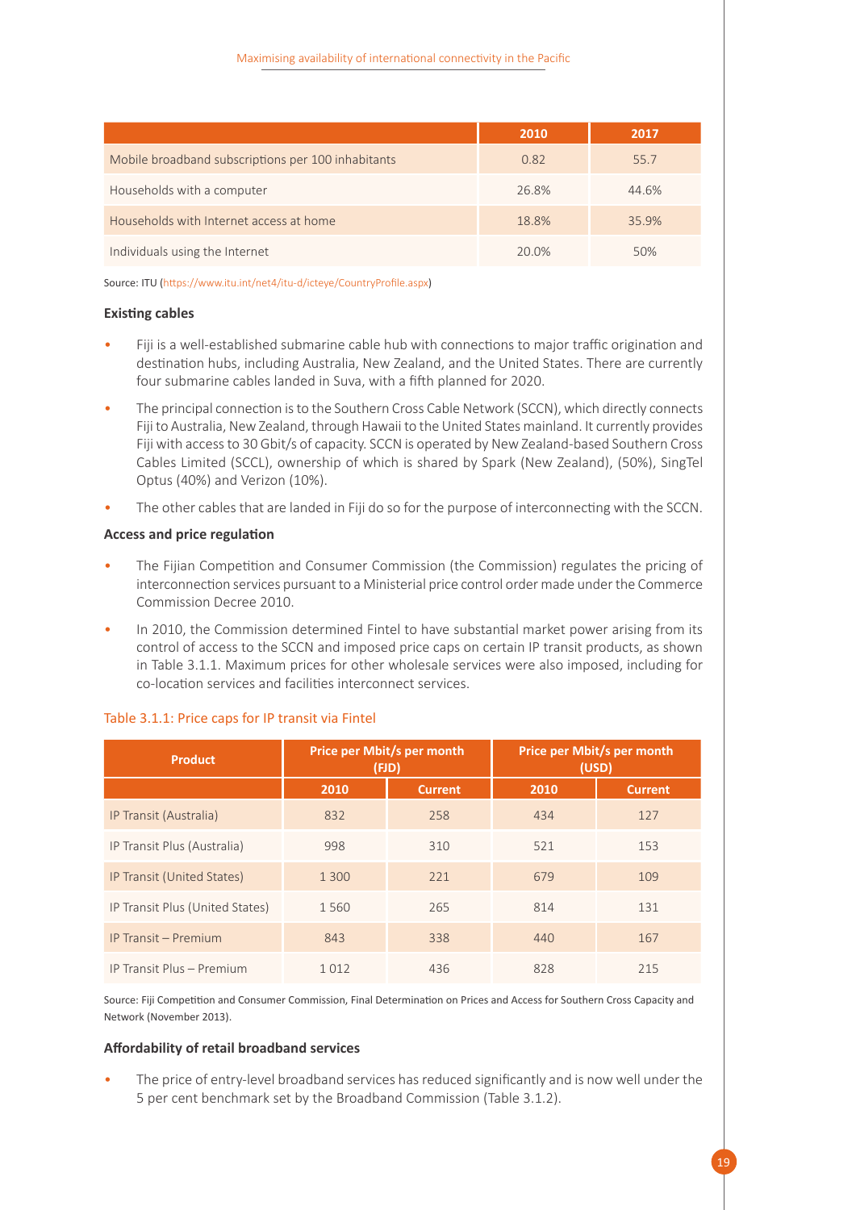|                                                    | 2010  | 2017  |
|----------------------------------------------------|-------|-------|
| Mobile broadband subscriptions per 100 inhabitants | 0.82  | 55.7  |
| Households with a computer                         | 26.8% | 44.6% |
| Households with Internet access at home            | 18.8% | 35.9% |
| Individuals using the Internet                     | 20.0% | 50%   |

Source: ITU (https://www.itu.int/net4/itu-d/icteye/CountryProfile.aspx)

#### **Existing cables**

- Fiji is a well-established submarine cable hub with connections to major traffic origination and destination hubs, including Australia, New Zealand, and the United States. There are currently four submarine cables landed in Suva, with a fifth planned for 2020.
- The principal connection is to the Southern Cross Cable Network (SCCN), which directly connects Fiji to Australia, New Zealand, through Hawaii to the United States mainland. It currently provides Fiji with access to 30 Gbit/s of capacity. SCCN is operated by New Zealand-based Southern Cross Cables Limited (SCCL), ownership of which is shared by Spark (New Zealand), (50%), SingTel Optus (40%) and Verizon (10%).
- The other cables that are landed in Fiji do so for the purpose of interconnecting with the SCCN.

#### **Access and price regulation**

- The Fijian Competition and Consumer Commission (the Commission) regulates the pricing of interconnection services pursuant to a Ministerial price control order made under the Commerce Commission Decree 2010.
- In 2010, the Commission determined Fintel to have substantial market power arising from its control of access to the SCCN and imposed price caps on certain IP transit products, as shown in Table 3.1.1. Maximum prices for other wholesale services were also imposed, including for co-location services and facilities interconnect services.

| <b>Product</b>                  | Price per Mbit/s per month<br>(FJD) |                | Price per Mbit/s per month<br>(USD) |                |
|---------------------------------|-------------------------------------|----------------|-------------------------------------|----------------|
|                                 | 2010                                | <b>Current</b> | 2010                                | <b>Current</b> |
| IP Transit (Australia)          | 832                                 | 258            | 434                                 | 127            |
| IP Transit Plus (Australia)     | 998                                 | 310            | 521                                 | 153            |
| IP Transit (United States)      | 1 300                               | 221            | 679                                 | 109            |
| IP Transit Plus (United States) | 1560                                | 265            | 814                                 | 131            |
| IP Transit - Premium            | 843                                 | 338            | 440                                 | 167            |
| IP Transit Plus - Premium       | 1012                                | 436            | 828                                 | 215            |

#### <span id="page-24-0"></span>Table 3.1.1: Price caps for IP transit via Fintel

Source: Fiji Competition and Consumer Commission, Final Determination on Prices and Access for Southern Cross Capacity and Network (November 2013).

#### **Affordability of retail broadband services**

• The price of entry-level broadband services has reduced significantly and is now well under the 5 per cent benchmark set by the Broadband Commission (Table 3.1.2).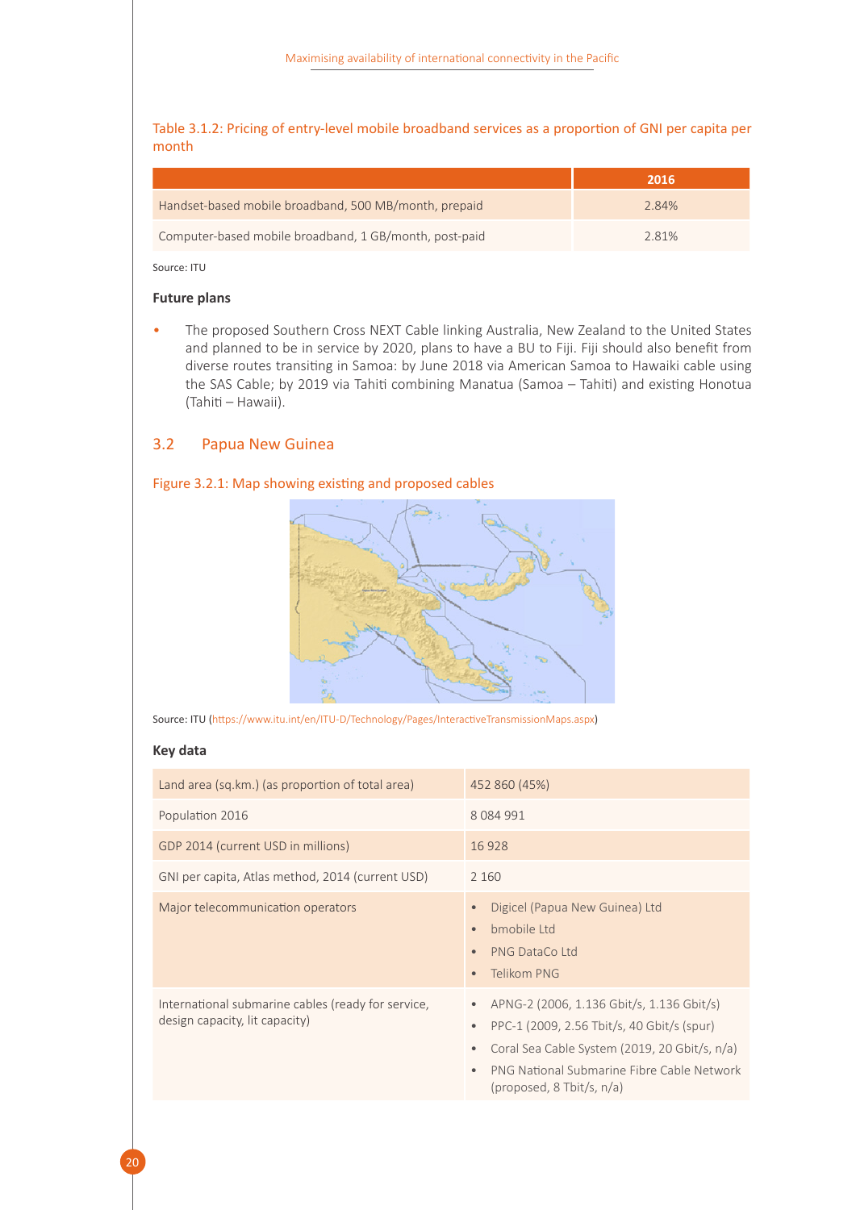<span id="page-25-1"></span>Table 3.1.2: Pricing of entry-level mobile broadband services as a proportion of GNI per capita per month

|                                                        | 2016  |
|--------------------------------------------------------|-------|
| Handset-based mobile broadband, 500 MB/month, prepaid  | 2.84% |
| Computer-based mobile broadband, 1 GB/month, post-paid | 2.81% |

Source: ITU

#### **Future plans**

• The proposed Southern Cross NEXT Cable linking Australia, New Zealand to the United States and planned to be in service by 2020, plans to have a BU to Fiji. Fiji should also benefit from diverse routes transiting in Samoa: by June 2018 via American Samoa to Hawaiki cable using the SAS Cable; by 2019 via Tahiti combining Manatua (Samoa – Tahiti) and existing Honotua (Tahiti – Hawaii).

#### <span id="page-25-0"></span>3.2 Papua New Guinea

#### <span id="page-25-2"></span>Figure 3.2.1: Map showing existing and proposed cables





#### **Key data**

| Land area (sq.km.) (as proportion of total area)                                     | 452 860 (45%)                                                                                                                                                                                                                                                   |
|--------------------------------------------------------------------------------------|-----------------------------------------------------------------------------------------------------------------------------------------------------------------------------------------------------------------------------------------------------------------|
| Population 2016                                                                      | 8 0 8 4 9 9 1                                                                                                                                                                                                                                                   |
| GDP 2014 (current USD in millions)                                                   | 16928                                                                                                                                                                                                                                                           |
| GNI per capita, Atlas method, 2014 (current USD)                                     | 2 1 6 0                                                                                                                                                                                                                                                         |
| Major telecommunication operators                                                    | Digicel (Papua New Guinea) Ltd<br>$\bullet$<br>bmobile Ltd<br>$\bullet$<br>PNG DataCo Ltd<br>$\bullet$<br>Telikom PNG<br>$\bullet$                                                                                                                              |
| International submarine cables (ready for service,<br>design capacity, lit capacity) | APNG-2 (2006, 1.136 Gbit/s, 1.136 Gbit/s)<br>$\bullet$<br>PPC-1 (2009, 2.56 Tbit/s, 40 Gbit/s (spur)<br>$\bullet$<br>Coral Sea Cable System (2019, 20 Gbit/s, n/a)<br>۰<br>PNG National Submarine Fibre Cable Network<br>$\bullet$<br>(proposed, 8 Tbit/s, n/a) |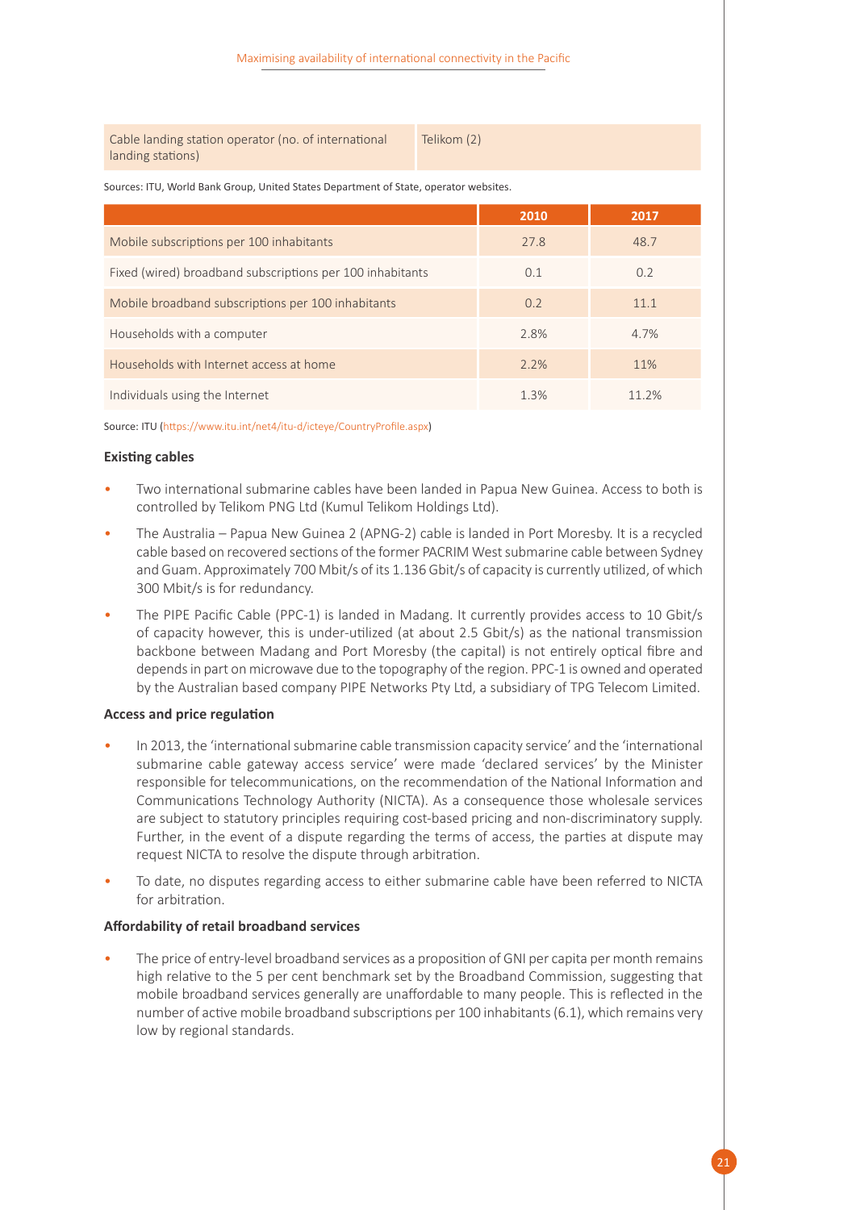Cable landing station operator (no. of international landing stations)

Telikom (2)

Sources: ITU, World Bank Group, United States Department of State, operator websites.

|                                                           | 2010    | 2017  |
|-----------------------------------------------------------|---------|-------|
| Mobile subscriptions per 100 inhabitants                  | 27.8    | 48.7  |
| Fixed (wired) broadband subscriptions per 100 inhabitants | 0.1     | 0.2   |
| Mobile broadband subscriptions per 100 inhabitants        | 0.2     | 11.1  |
| Households with a computer                                | 2.8%    | 4.7%  |
| Households with Internet access at home                   | 2.2%    | 11%   |
| Individuals using the Internet                            | $1.3\%$ | 11 2% |

Source: ITU (https://www.itu.int/net4/itu-d/icteye/CountryProfile.aspx)

#### **Existing cables**

- Two international submarine cables have been landed in Papua New Guinea. Access to both is controlled by Telikom PNG Ltd (Kumul Telikom Holdings Ltd).
- The Australia Papua New Guinea 2 (APNG-2) cable is landed in Port Moresby. It is a recycled cable based on recovered sections of the former PACRIM West submarine cable between Sydney and Guam. Approximately 700 Mbit/s of its 1.136 Gbit/s of capacity is currently utilized, of which 300 Mbit/s is for redundancy.
- The PIPE Pacific Cable (PPC-1) is landed in Madang. It currently provides access to 10 Gbit/s of capacity however, this is under-utilized (at about 2.5 Gbit/s) as the national transmission backbone between Madang and Port Moresby (the capital) is not entirely optical fibre and depends in part on microwave due to the topography of the region. PPC-1 is owned and operated by the Australian based company PIPE Networks Pty Ltd, a subsidiary of TPG Telecom Limited.

#### **Access and price regulation**

- In 2013, the 'international submarine cable transmission capacity service' and the 'international submarine cable gateway access service' were made 'declared services' by the Minister responsible for telecommunications, on the recommendation of the National Information and Communications Technology Authority (NICTA). As a consequence those wholesale services are subject to statutory principles requiring cost-based pricing and non-discriminatory supply. Further, in the event of a dispute regarding the terms of access, the parties at dispute may request NICTA to resolve the dispute through arbitration.
- To date, no disputes regarding access to either submarine cable have been referred to NICTA for arbitration.

#### **Affordability of retail broadband services**

• The price of entry-level broadband services as a proposition of GNI per capita per month remains high relative to the 5 per cent benchmark set by the Broadband Commission, suggesting that mobile broadband services generally are unaffordable to many people. This is reflected in the number of active mobile broadband subscriptions per 100 inhabitants (6.1), which remains very low by regional standards.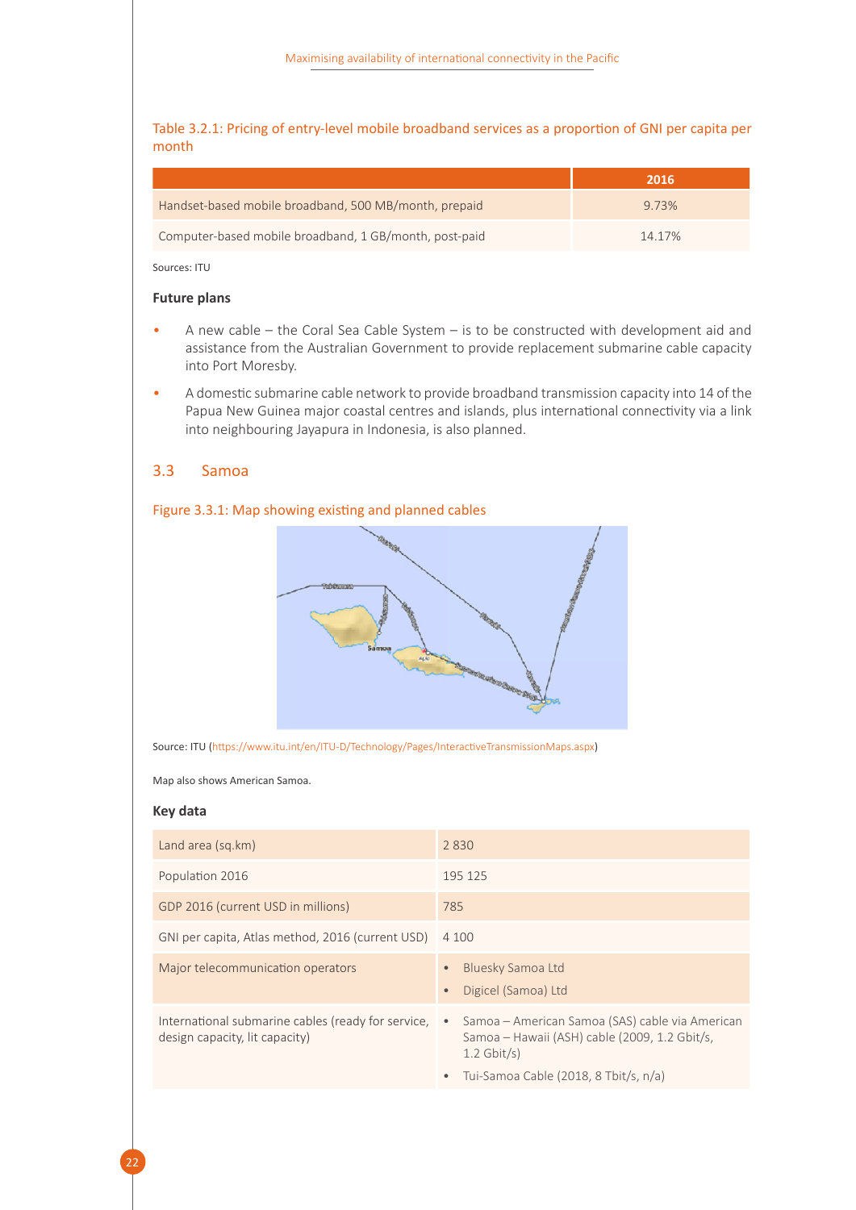#### <span id="page-27-1"></span>Table 3.2.1: Pricing of entry-level mobile broadband services as a proportion of GNI per capita per month

|                                                        | 2016   |
|--------------------------------------------------------|--------|
| Handset-based mobile broadband, 500 MB/month, prepaid  | 9.73%  |
| Computer-based mobile broadband, 1 GB/month, post-paid | 14.17% |

Sources: ITU

#### **Future plans**

- A new cable the Coral Sea Cable System is to be constructed with development aid and assistance from the Australian Government to provide replacement submarine cable capacity into Port Moresby.
- A domestic submarine cable network to provide broadband transmission capacity into 14 of the Papua New Guinea major coastal centres and islands, plus international connectivity via a link into neighbouring Jayapura in Indonesia, is also planned.

#### <span id="page-27-0"></span>3.3 Samoa

#### <span id="page-27-2"></span>Figure 3.3.1: Map showing existing and planned cables



Source: ITU (<https://www.itu.int/en/ITU-D/Technology/Pages/InteractiveTransmissionMaps.aspx>)

Map also shows American Samoa.

#### **Key data**

| Land area (sq.km)                                                                    | 2830                                                                                                                           |
|--------------------------------------------------------------------------------------|--------------------------------------------------------------------------------------------------------------------------------|
| Population 2016                                                                      | 195 125                                                                                                                        |
| GDP 2016 (current USD in millions)                                                   | 785                                                                                                                            |
| GNI per capita, Atlas method, 2016 (current USD)                                     | 4 100                                                                                                                          |
| Major telecommunication operators                                                    | Bluesky Samoa Ltd<br>Digicel (Samoa) Ltd                                                                                       |
| International submarine cables (ready for service,<br>design capacity, lit capacity) | Samoa – American Samoa (SAS) cable via American<br>$\bullet$<br>Samoa – Hawaii (ASH) cable (2009, 1.2 Gbit/s,<br>$1.2$ Gbit/s) |
|                                                                                      | Tui-Samoa Cable (2018, 8 Tbit/s, n/a)                                                                                          |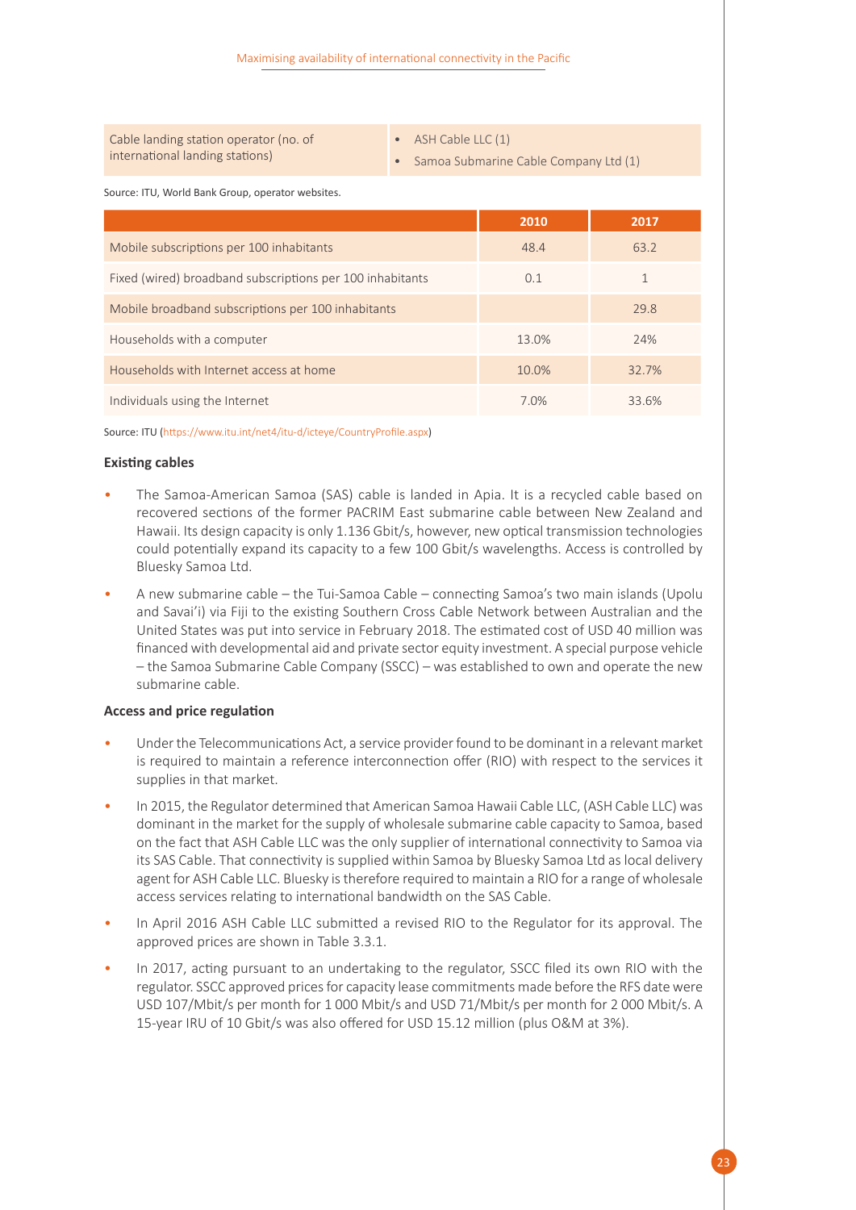| Cable landing station operator (no. of |  |
|----------------------------------------|--|
| international landing stations)        |  |

• ASH Cable LLC (1)

• Samoa Submarine Cable Company Ltd (1)

Source: ITU, World Bank Group, operator websites.

|                                                           | 2010  | 2017  |
|-----------------------------------------------------------|-------|-------|
| Mobile subscriptions per 100 inhabitants                  | 48.4  | 63.2  |
| Fixed (wired) broadband subscriptions per 100 inhabitants | 0.1   |       |
| Mobile broadband subscriptions per 100 inhabitants        |       | 29.8  |
| Households with a computer                                | 13.0% | 24%   |
| Households with Internet access at home                   | 10.0% | 32.7% |
| Individuals using the Internet                            | 7.0%  | 33.6% |

Source: ITU (https://www.itu.int/net4/itu-d/icteye/CountryProfile.aspx)

#### **Existing cables**

- The Samoa-American Samoa (SAS) cable is landed in Apia. It is a recycled cable based on recovered sections of the former PACRIM East submarine cable between New Zealand and Hawaii. Its design capacity is only 1.136 Gbit/s, however, new optical transmission technologies could potentially expand its capacity to a few 100 Gbit/s wavelengths. Access is controlled by Bluesky Samoa Ltd.
- A new submarine cable the Tui-Samoa Cable connecting Samoa's two main islands (Upolu and Savai'i) via Fiji to the existing Southern Cross Cable Network between Australian and the United States was put into service in February 2018. The estimated cost of USD 40 million was financed with developmental aid and private sector equity investment. A special purpose vehicle – the Samoa Submarine Cable Company (SSCC) – was established to own and operate the new submarine cable.

#### **Access and price regulation**

- Under the Telecommunications Act, a service provider found to be dominant in a relevant market is required to maintain a reference interconnection offer (RIO) with respect to the services it supplies in that market.
- In 2015, the Regulator determined that American Samoa Hawaii Cable LLC, (ASH Cable LLC) was dominant in the market for the supply of wholesale submarine cable capacity to Samoa, based on the fact that ASH Cable LLC was the only supplier of international connectivity to Samoa via its SAS Cable. That connectivity is supplied within Samoa by Bluesky Samoa Ltd as local delivery agent for ASH Cable LLC. Bluesky is therefore required to maintain a RIO for a range of wholesale access services relating to international bandwidth on the SAS Cable.
- In April 2016 ASH Cable LLC submitted a revised RIO to the Regulator for its approval. The approved prices are shown in Table 3.3.1.
- In 2017, acting pursuant to an undertaking to the regulator, SSCC filed its own RIO with the regulator. SSCC approved prices for capacity lease commitments made before the RFS date were USD 107/Mbit/s per month for 1 000 Mbit/s and USD 71/Mbit/s per month for 2 000 Mbit/s. A 15-year IRU of 10 Gbit/s was also offered for USD 15.12 million (plus O&M at 3%).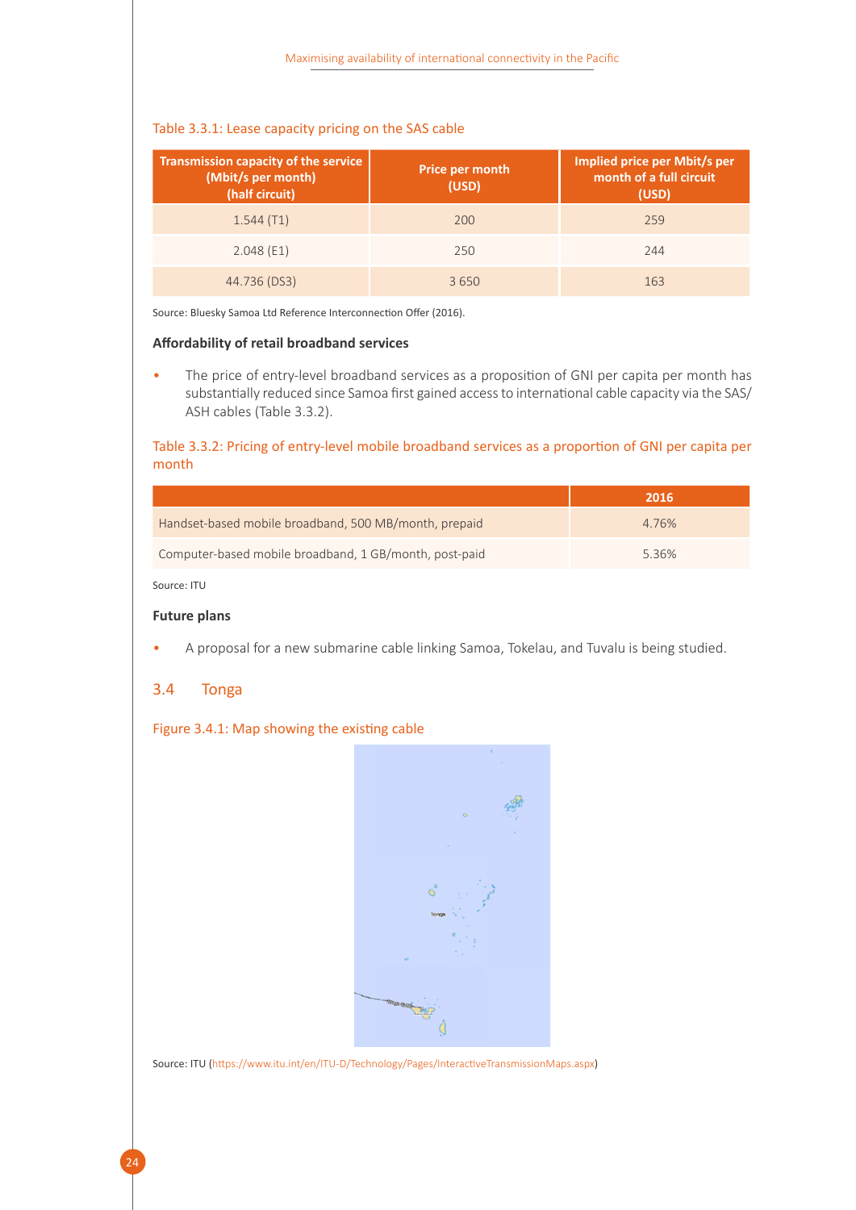#### <span id="page-29-1"></span>Table 3.3.1: Lease capacity pricing on the SAS cable

| <b>Transmission capacity of the service</b><br>(Mbit/s per month)<br>(half circuit) | <b>Price per month</b><br>(USD) | Implied price per Mbit/s per<br>month of a full circuit<br>(USD) |
|-------------------------------------------------------------------------------------|---------------------------------|------------------------------------------------------------------|
| 1.544(T1)                                                                           | 200                             | 259                                                              |
| 2.048(E1)                                                                           | 250                             | 244                                                              |
| 44.736 (DS3)                                                                        | 3650                            | 163                                                              |

Source: Bluesky Samoa Ltd Reference Interconnection Offer (2016).

#### **Affordability of retail broadband services**

• The price of entry-level broadband services as a proposition of GNI per capita per month has substantially reduced since Samoa first gained access to international cable capacity via the SAS/ ASH cables (Table 3.3.2).

#### <span id="page-29-2"></span>Table 3.3.2: Pricing of entry-level mobile broadband services as a proportion of GNI per capita per month

|                                                        | 2016  |
|--------------------------------------------------------|-------|
| Handset-based mobile broadband, 500 MB/month, prepaid  | 4.76% |
| Computer-based mobile broadband, 1 GB/month, post-paid | 5.36% |

Source: ITU

#### **Future plans**

• A proposal for a new submarine cable linking Samoa, Tokelau, and Tuvalu is being studied.

#### <span id="page-29-0"></span>3.4 Tonga

24

#### <span id="page-29-3"></span>Figure 3.4.1: Map showing the existing cable



Source: ITU (https://www.itu.int/en/ITU-D/Technology/Pages/InteractiveTransmissionMaps.aspx)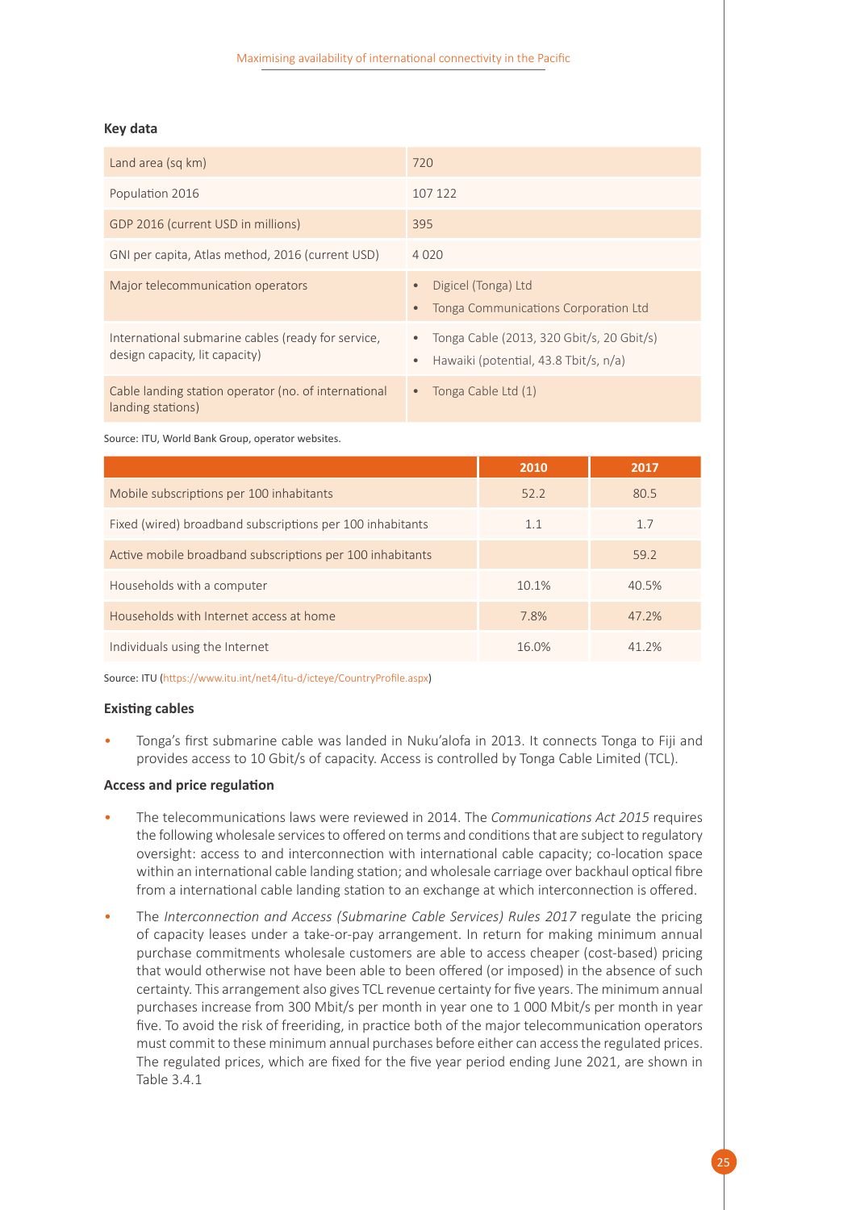#### **Key data**

| Land area (sq km)                                                                    | 720                                                                                                          |
|--------------------------------------------------------------------------------------|--------------------------------------------------------------------------------------------------------------|
| Population 2016                                                                      | 107 122                                                                                                      |
| GDP 2016 (current USD in millions)                                                   | 395                                                                                                          |
| GNI per capita, Atlas method, 2016 (current USD)                                     | 4020                                                                                                         |
| Major telecommunication operators                                                    | Digicel (Tonga) Ltd<br>$\bullet$<br>Tonga Communications Corporation Ltd<br>$\bullet$                        |
| International submarine cables (ready for service,<br>design capacity, lit capacity) | Tonga Cable (2013, 320 Gbit/s, 20 Gbit/s)<br>$\bullet$<br>Hawaiki (potential, 43.8 Tbit/s, n/a)<br>$\bullet$ |
| Cable landing station operator (no. of international<br>landing stations)            | Tonga Cable Ltd (1)<br>$\bullet$                                                                             |

Source: ITU, World Bank Group, operator websites.

|                                                           | 2010  | 2017  |
|-----------------------------------------------------------|-------|-------|
| Mobile subscriptions per 100 inhabitants                  | 52.2  | 80.5  |
| Fixed (wired) broadband subscriptions per 100 inhabitants | 1.1   | 1.7   |
| Active mobile broadband subscriptions per 100 inhabitants |       | 59.2  |
| Households with a computer                                | 10.1% | 40.5% |
| Households with Internet access at home                   | 7.8%  | 47.2% |
| Individuals using the Internet                            | 16.0% | 41 2% |

Source: ITU (https://www.itu.int/net4/itu-d/icteye/CountryProfile.aspx)

#### **Existing cables**

• Tonga's first submarine cable was landed in Nuku'alofa in 2013. It connects Tonga to Fiji and provides access to 10 Gbit/s of capacity. Access is controlled by Tonga Cable Limited (TCL).

#### **Access and price regulation**

- The telecommunications laws were reviewed in 2014. The *Communications Act 2015* requires the following wholesale services to offered on terms and conditions that are subject to regulatory oversight: access to and interconnection with international cable capacity; co-location space within an international cable landing station; and wholesale carriage over backhaul optical fibre from a international cable landing station to an exchange at which interconnection is offered.
- The *Interconnection and Access (Submarine Cable Services) Rules 2017* regulate the pricing of capacity leases under a take-or-pay arrangement. In return for making minimum annual purchase commitments wholesale customers are able to access cheaper (cost-based) pricing that would otherwise not have been able to been offered (or imposed) in the absence of such certainty. This arrangement also gives TCL revenue certainty for five years. The minimum annual purchases increase from 300 Mbit/s per month in year one to 1 000 Mbit/s per month in year five. To avoid the risk of freeriding, in practice both of the major telecommunication operators must commit to these minimum annual purchases before either can access the regulated prices. The regulated prices, which are fixed for the five year period ending June 2021, are shown in Table 3.4.1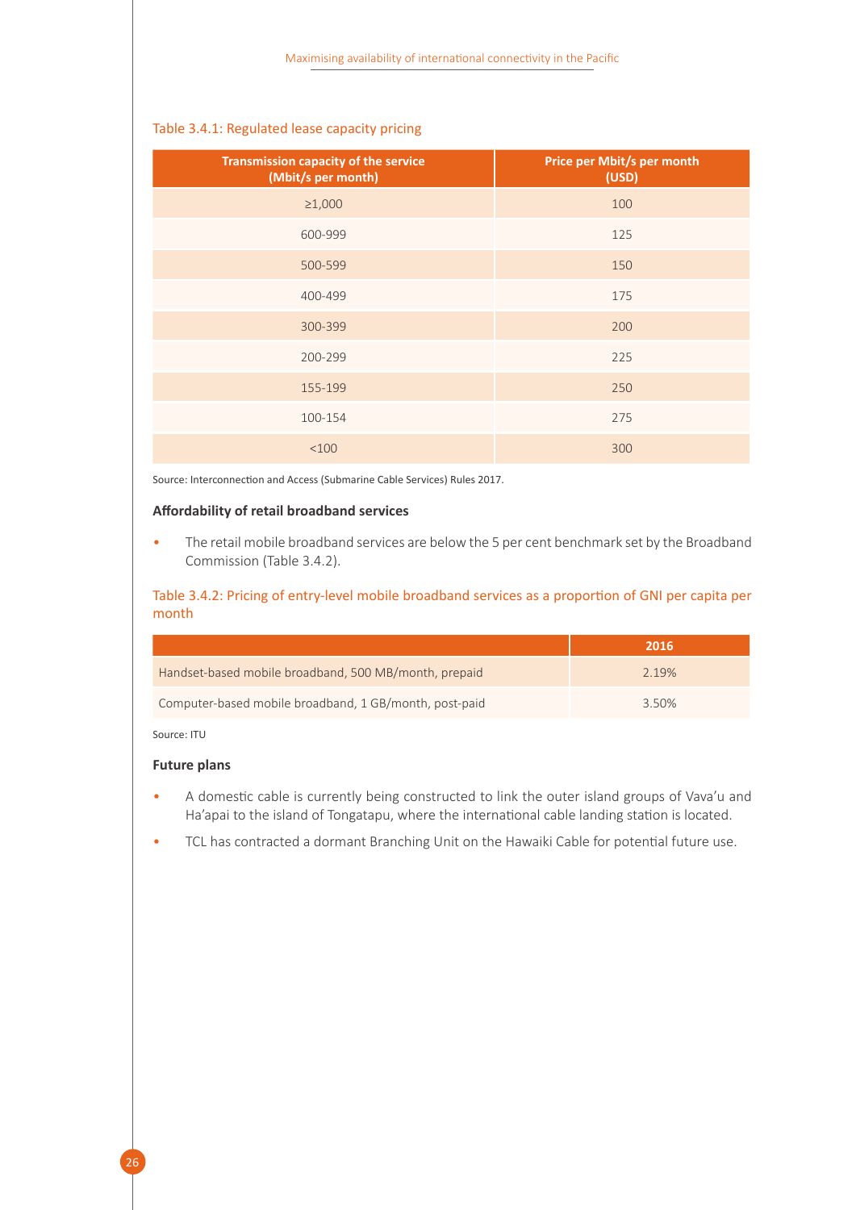<span id="page-31-0"></span>

| Transmission capacity of the service<br>(Mbit/s per month) | Price per Mbit/s per month<br>(USD) |
|------------------------------------------------------------|-------------------------------------|
| $\geq 1,000$                                               | 100                                 |
| 600-999                                                    | 125                                 |
| 500-599                                                    | 150                                 |
| 400-499                                                    | 175                                 |
| 300-399                                                    | 200                                 |
| 200-299                                                    | 225                                 |
| 155-199                                                    | 250                                 |
| 100-154                                                    | 275                                 |
| <100                                                       | 300                                 |

Source: Interconnection and Access (Submarine Cable Services) Rules 2017.

#### **Affordability of retail broadband services**

• The retail mobile broadband services are below the 5 per cent benchmark set by the Broadband Commission (Table 3.4.2).

<span id="page-31-1"></span>Table 3.4.2: Pricing of entry-level mobile broadband services as a proportion of GNI per capita per month

|                                                        | 2016  |
|--------------------------------------------------------|-------|
| Handset-based mobile broadband, 500 MB/month, prepaid  | 2.19% |
| Computer-based mobile broadband, 1 GB/month, post-paid | 3.50% |

Source: ITU

#### **Future plans**

- A domestic cable is currently being constructed to link the outer island groups of Vava'u and Ha'apai to the island of Tongatapu, where the international cable landing station is located.
- TCL has contracted a dormant Branching Unit on the Hawaiki Cable for potential future use.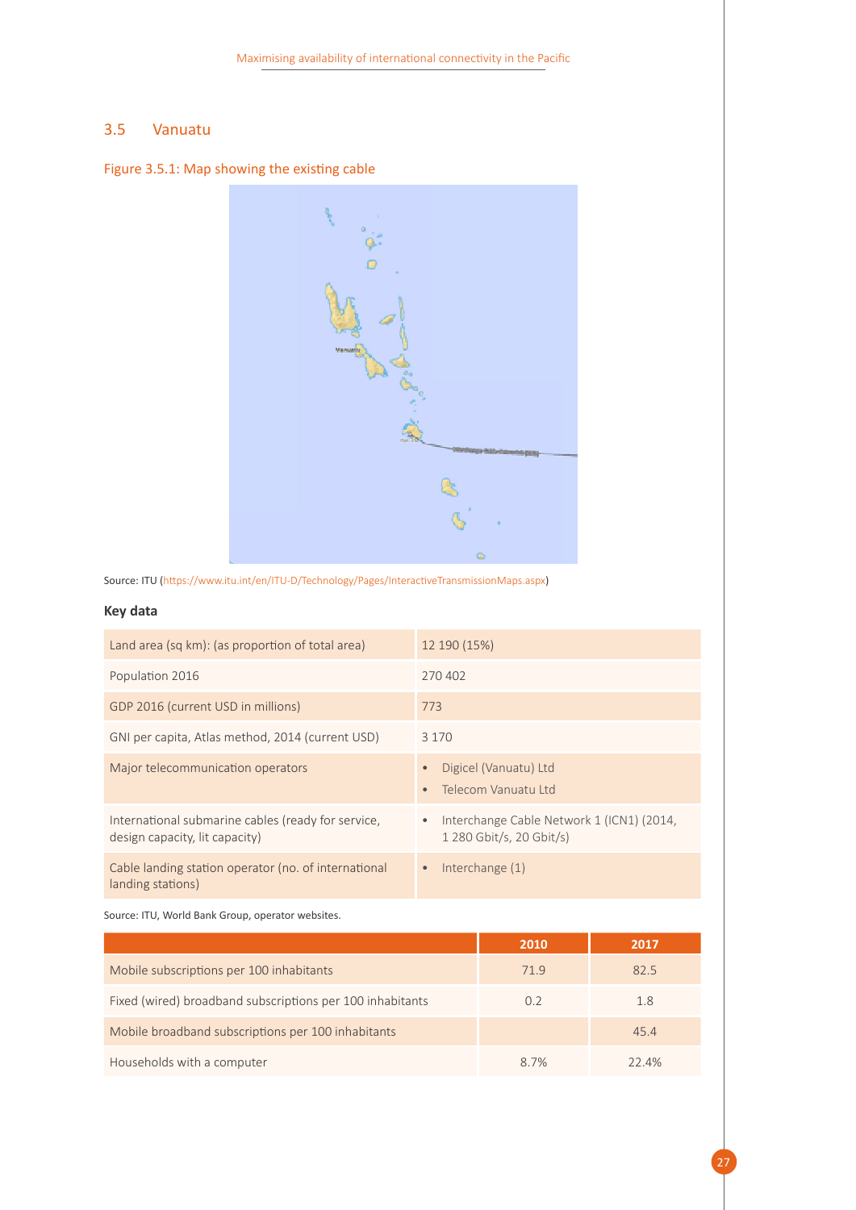#### <span id="page-32-0"></span>3.5 Vanuatu

<span id="page-32-1"></span>Figure 3.5.1: Map showing the existing cable



Source: ITU (https://www.itu.int/en/ITU-D/Technology/Pages/InteractiveTransmissionMaps.aspx)

#### **Key data**

| Land area (sq km): (as proportion of total area)                                     | 12 190 (15%)                                                                       |
|--------------------------------------------------------------------------------------|------------------------------------------------------------------------------------|
| Population 2016                                                                      | 270402                                                                             |
| GDP 2016 (current USD in millions)                                                   | 773                                                                                |
| GNI per capita, Atlas method, 2014 (current USD)                                     | 3 1 7 0                                                                            |
| Major telecommunication operators                                                    | Digicel (Vanuatu) Ltd<br>Telecom Vanuatu I td                                      |
| International submarine cables (ready for service,<br>design capacity, lit capacity) | Interchange Cable Network 1 (ICN1) (2014,<br>$\bullet$<br>1 280 Gbit/s, 20 Gbit/s) |
| Cable landing station operator (no. of international<br>landing stations)            | Interchange (1)<br>$\bullet$                                                       |

Source: ITU, World Bank Group, operator websites.

|                                                           | 2010 | 2017  |
|-----------------------------------------------------------|------|-------|
| Mobile subscriptions per 100 inhabitants                  | 71.9 | 82.5  |
| Fixed (wired) broadband subscriptions per 100 inhabitants | 0.2  | 1.8   |
| Mobile broadband subscriptions per 100 inhabitants        |      | 45.4  |
| Households with a computer                                | 8.7% | 22.4% |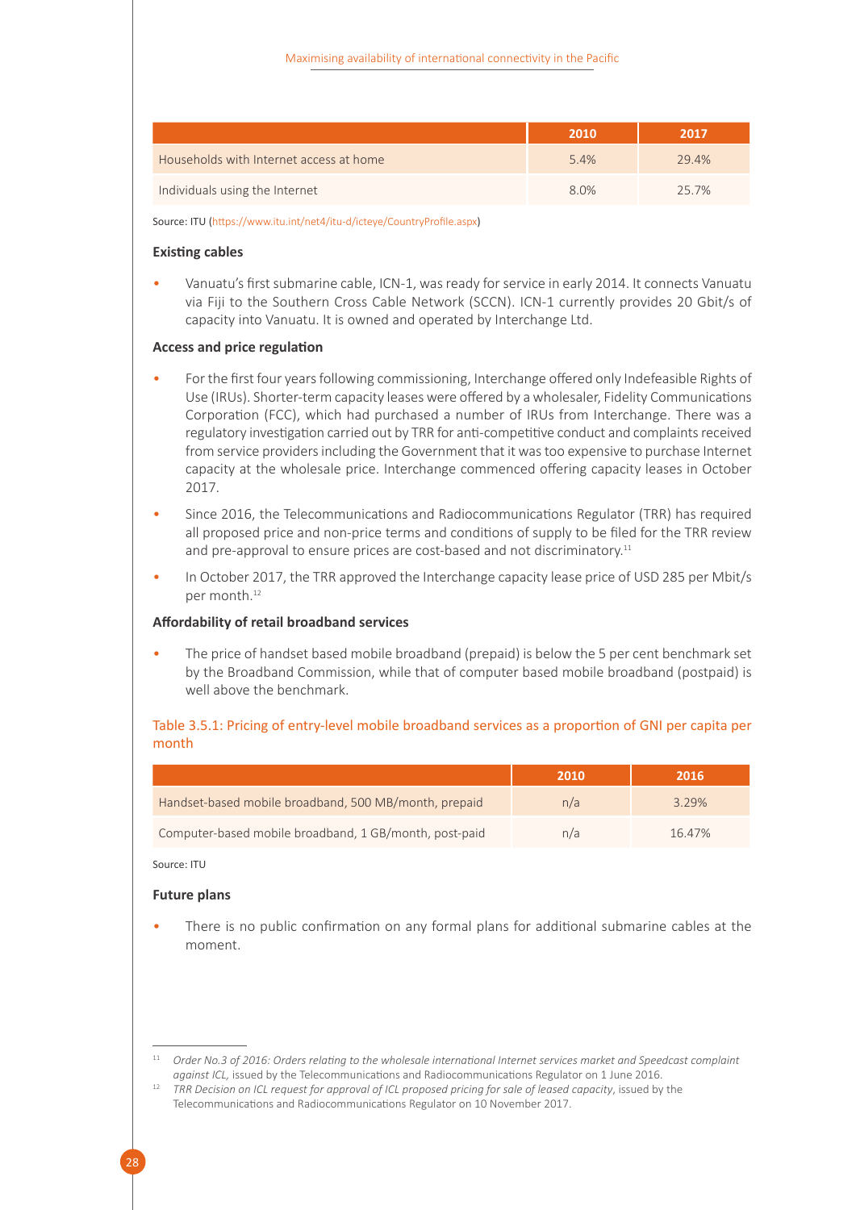|                                         | 2010 | 2017  |
|-----------------------------------------|------|-------|
| Households with Internet access at home | 5.4% | 29.4% |
| Individuals using the Internet          | 8.0% | 25.7% |

Source: ITU (https://www.itu.int/net4/itu-d/icteye/CountryProfile.aspx)

#### **Existing cables**

• Vanuatu's first submarine cable, ICN-1, was ready for service in early 2014. It connects Vanuatu via Fiji to the Southern Cross Cable Network (SCCN). ICN-1 currently provides 20 Gbit/s of capacity into Vanuatu. It is owned and operated by Interchange Ltd.

#### **Access and price regulation**

- For the first four years following commissioning, Interchange offered only Indefeasible Rights of Use (IRUs). Shorter-term capacity leases were offered by a wholesaler, Fidelity Communications Corporation (FCC), which had purchased a number of IRUs from Interchange. There was a regulatory investigation carried out by TRR for anti-competitive conduct and complaints received from service providers including the Government that it was too expensive to purchase Internet capacity at the wholesale price. Interchange commenced offering capacity leases in October 2017.
- Since 2016, the Telecommunications and Radiocommunications Regulator (TRR) has required all proposed price and non-price terms and conditions of supply to be filed for the TRR review and pre-approval to ensure prices are cost-based and not discriminatory.<sup>11</sup>
- In October 2017, the TRR approved the Interchange capacity lease price of USD 285 per Mbit/s per month.<sup>12</sup>

#### **Affordability of retail broadband services**

• The price of handset based mobile broadband (prepaid) is below the 5 per cent benchmark set by the Broadband Commission, while that of computer based mobile broadband (postpaid) is well above the benchmark.

#### <span id="page-33-0"></span>Table 3.5.1: Pricing of entry-level mobile broadband services as a proportion of GNI per capita per month

|                                                        | 2010 | 2016   |
|--------------------------------------------------------|------|--------|
| Handset-based mobile broadband, 500 MB/month, prepaid  | n/a  | 3.29%  |
| Computer-based mobile broadband, 1 GB/month, post-paid | n/a  | 16.47% |

#### Source: ITU

#### **Future plans**

There is no public confirmation on any formal plans for additional submarine cables at the moment.

<sup>11</sup> *Order No.3 of 2016: Orders relating to the wholesale international Internet services market and Speedcast complaint against ICL,* issued by the Telecommunications and Radiocommunications Regulator on 1 June 2016.

<sup>12</sup> *TRR Decision on ICL request for approval of ICL proposed pricing for sale of leased capacity*, issued by the Telecommunications and Radiocommunications Regulator on 10 November 2017.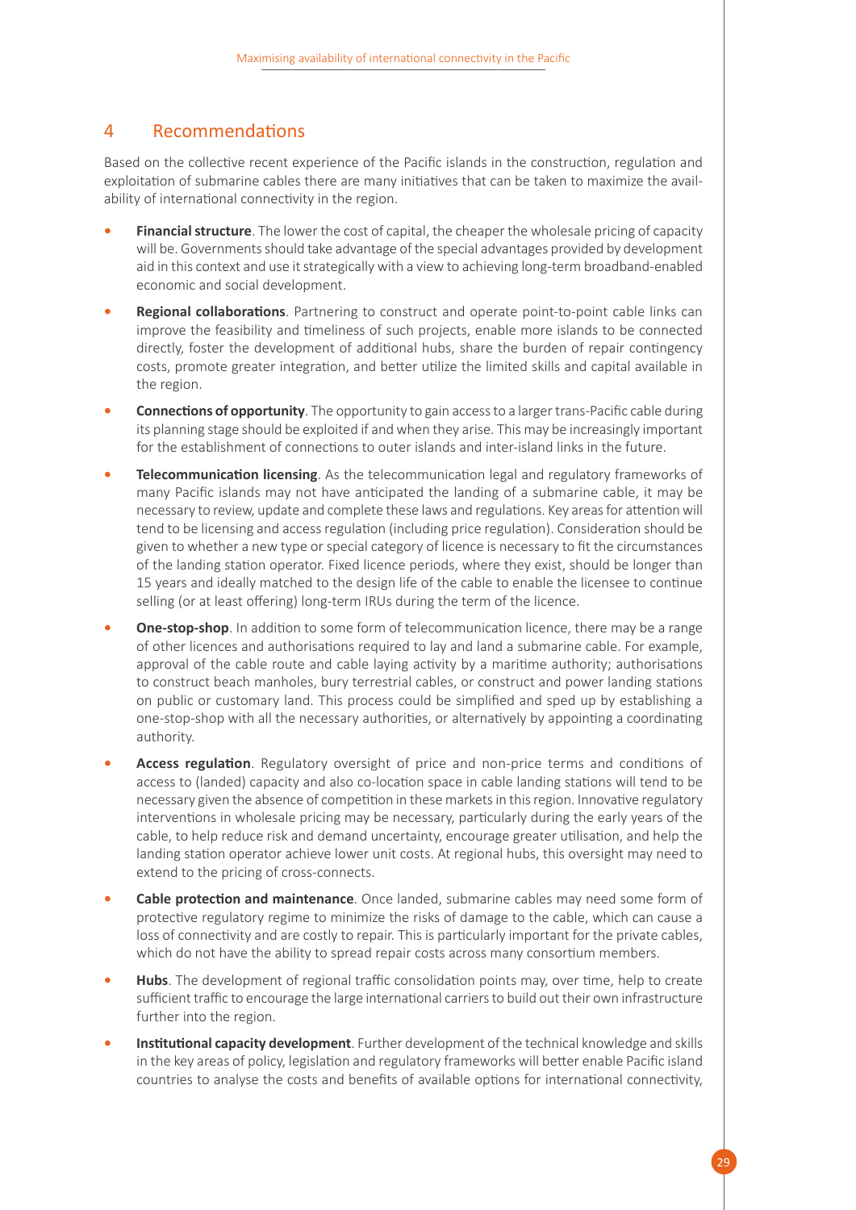### <span id="page-34-0"></span>4 Recommendations

Based on the collective recent experience of the Pacific islands in the construction, regulation and exploitation of submarine cables there are many initiatives that can be taken to maximize the availability of international connectivity in the region.

- **• Financial structure**. The lower the cost of capital, the cheaper the wholesale pricing of capacity will be. Governments should take advantage of the special advantages provided by development aid in this context and use it strategically with a view to achieving long-term broadband-enabled economic and social development.
- **• Regional collaborations**. Partnering to construct and operate point-to-point cable links can improve the feasibility and timeliness of such projects, enable more islands to be connected directly, foster the development of additional hubs, share the burden of repair contingency costs, promote greater integration, and better utilize the limited skills and capital available in the region.
- **• Connections of opportunity**. The opportunity to gain access to a larger trans-Pacific cable during its planning stage should be exploited if and when they arise. This may be increasingly important for the establishment of connections to outer islands and inter-island links in the future.
- **• Telecommunication licensing**. As the telecommunication legal and regulatory frameworks of many Pacific islands may not have anticipated the landing of a submarine cable, it may be necessary to review, update and complete these laws and regulations. Key areas for attention will tend to be licensing and access regulation (including price regulation). Consideration should be given to whether a new type or special category of licence is necessary to fit the circumstances of the landing station operator. Fixed licence periods, where they exist, should be longer than 15 years and ideally matched to the design life of the cable to enable the licensee to continue selling (or at least offering) long-term IRUs during the term of the licence.
- **One-stop-shop**. In addition to some form of telecommunication licence, there may be a range of other licences and authorisations required to lay and land a submarine cable. For example, approval of the cable route and cable laying activity by a maritime authority; authorisations to construct beach manholes, bury terrestrial cables, or construct and power landing stations on public or customary land. This process could be simplified and sped up by establishing a one-stop-shop with all the necessary authorities, or alternatively by appointing a coordinating authority.
- **• Access regulation**. Regulatory oversight of price and non-price terms and conditions of access to (landed) capacity and also co-location space in cable landing stations will tend to be necessary given the absence of competition in these markets in this region. Innovative regulatory interventions in wholesale pricing may be necessary, particularly during the early years of the cable, to help reduce risk and demand uncertainty, encourage greater utilisation, and help the landing station operator achieve lower unit costs. At regional hubs, this oversight may need to extend to the pricing of cross-connects.
- **• Cable protection and maintenance**. Once landed, submarine cables may need some form of protective regulatory regime to minimize the risks of damage to the cable, which can cause a loss of connectivity and are costly to repair. This is particularly important for the private cables, which do not have the ability to spread repair costs across many consortium members.
- **• Hubs**. The development of regional traffic consolidation points may, over time, help to create sufficient traffic to encourage the large international carriers to build out their own infrastructure further into the region.
- **• Institutional capacity development**. Further development of the technical knowledge and skills in the key areas of policy, legislation and regulatory frameworks will better enable Pacific island countries to analyse the costs and benefits of available options for international connectivity,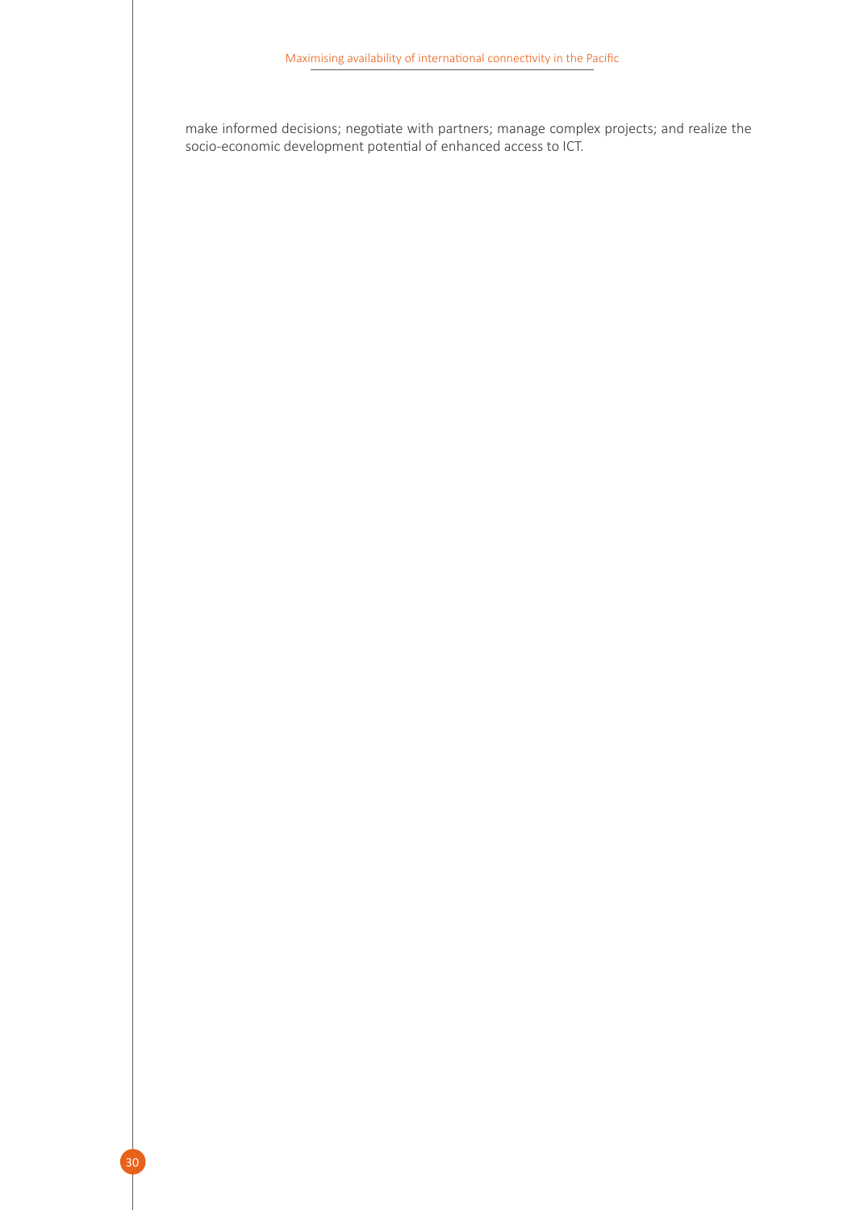make informed decisions; negotiate with partners; manage complex projects; and realize the socio-economic development potential of enhanced access to ICT.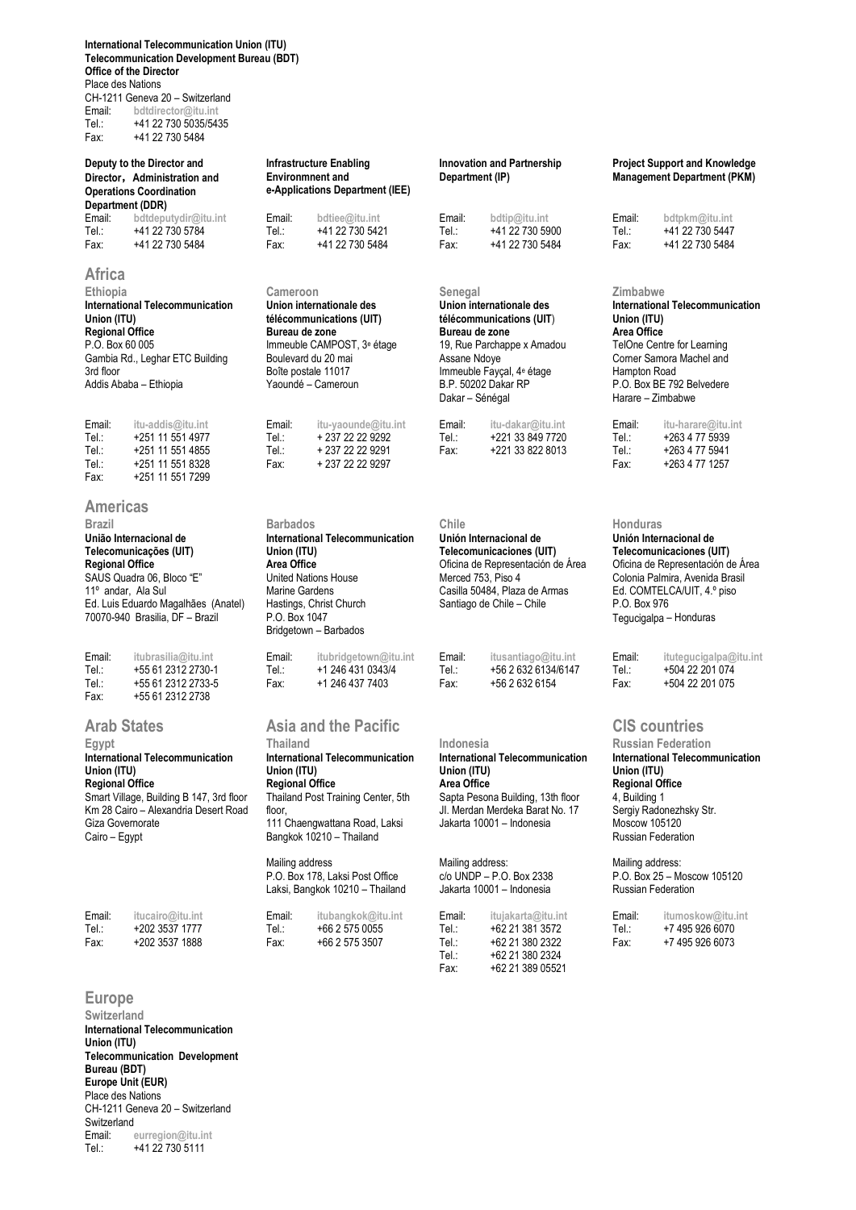**International Telecommunication Union (ITU) Telecommunication Development Bureau (BDT) Office of the Director** Place des Nations CH-1211 Geneva 20 – Switzerland Email: **bdtdirector@itu.int**

Tel.: +41 22 730 5035/5435<br>Fax: +41 22 730 5484 Fax: +41 22 730 5484

#### **Deputy to the Director and Director**,**Administration and Operations Coordination Department (DDR)**<br>Email bettenuturlin@itu.int

| _     | <u>wwwwpwuywii wurki</u> | -------- | <b>MALIAAMILIII</b> | <u>Lucu</u> | <b>MARINANITIE</b> | ------- | <b>MAPILITANISHIII</b> |
|-------|--------------------------|----------|---------------------|-------------|--------------------|---------|------------------------|
| Tel.: | +41 22 730 5784          | Tel.:    | +41 22 730 5421     | Tel.:       | +41 22 730 5900    | Tel.:   | +41 22 730 5447        |
| Fax:  | +41 22 730 5484          | Fax:     | +41 22 730 5484     | Fax:        | +41 22 730 5484    | Fax:    | +41 22 730 5484        |

## **Africa**

**Ethiopia Cameroon Senegal Zimbabwe International Telecommunication Union (ITU) Regional Office** P.O. Box 60 005 Gambia Rd., Leghar ETC Building 3rd floor Addis Ababa – Ethiopia

Email: **itu-addis@itu.int** Email: **itu-yaounde@itu.int** Email: **itu-dakar@itu.int** Email: **itu-harare@itu.int**  Tel.: +251 11 551 4977 Tel.: + 237 22 22 9292 Tel.: +221 33 849 7720 Tel.: +263 4 77 5939 Tel.: +251 11 551 4855 Tel.: + 237 22 22 9291 Fax: +221 33 822 8013 Tel.: +263 4 77 5941 Tel.: +251 11 551 8328 Fax: +237 22 22 9297<br>Fax: +251 11 551 7299 +251 11 551 7299

#### **Americas**

**União Internacional de** 

**Telecomunicações (UIT) Regional Office** SAUS Quadra 06, Bloco "E" 11º andar, Ala Sul Ed. Luis Eduardo Magalhães (Anatel) 70070-940 Brasilia, DF – Brazil

| Email: | itubrasilia@itu.int | Email: | itubridgetown@itu.int | Email: | itusantiago@itu.int | Email: | itutegucigalpa@ |
|--------|---------------------|--------|-----------------------|--------|---------------------|--------|-----------------|
| Tel.:  | +55 61 2312 2730-1  | Tel.:  | +1 246 431 0343/4     | Tel∴   | +56 2 632 6134/6147 | Tel∴   | +504 22 201 074 |
| Tel:   | +55 61 2312 2733-5  | Fax:   | +1 246 437 7403       | Fax:   | +56 2 632 6154      | Fax:   | +504 22 201 075 |
| Fax:   | +55 61 2312 2738    |        |                       |        |                     |        |                 |

**International Telecommunication Union (ITU) Regional Office** Smart Village, Building B 147, 3rd floor

Km 28 Cairo – Alexandria Desert Road Giza Governorate Cairo – Egypt

#### **Europe**

**Switzerland International Telecommunication Union (ITU) Telecommunication Development Bureau (BDT) Europe Unit (EUR)** Place des Nations CH-1211 Geneva 20 – Switzerland Switzerland<br>Fmail: Email: **eurregion@itu.int** Tel.: +41 22 730 5111

#### **Infrastructure Enabling Environmnent and e-Applications Department (IEE)**

Email: **bdtdeputydir@itu.int** Email: **bdtiee@itu.int** Email: **bdtip@itu.int** Email: **bdtpkm@itu.int**

**Union internationale des télécommunications (UIT) Bureau de zone** Immeuble CAMPOST, 3e étage Boulevard du 20 mai Boîte postale 11017 Yaoundé – Cameroun

| Barbados                        |
|---------------------------------|
| International Telecommunication |
| Union (ITU)                     |
| Area Office                     |
| <b>United Nations House</b>     |
| Marine Gardens                  |
| Hastings, Christ Church         |
| P.O. Box 1047                   |
| Bridgetown - Barbados           |
|                                 |
|                                 |

**Arab States Asia and the Pacific CIS countries International Telecommunication Union (ITU) Regional Office** Thailand Post Training Center, 5th floor, 111 Chaengwattana Road, Laksi Bangkok 10210 – Thailand

> Mailing address P.O. Box 178, Laksi Post Office Laksi, Bangkok 10210 – Thailand

| Email: | itucairo@itu.int | Email: | itubangkok@itu.int | Email: | itujakarta@itu.int | Email: | itumoskow@itu.int |
|--------|------------------|--------|--------------------|--------|--------------------|--------|-------------------|
| Tel.:  | +202 3537 1777   | Tel∴   | +66 2 575 0055     | TeL:   | +62 21 381 3572    | Tel    | +7 495 926 6070   |
| Fax:   | +202 3537 1888   | Fax:   | +66 2 575 3507     | TeL:   | +62 21 380 2322    | Fax:   | +7 495 926 6073   |

#### **Innovation and Partnership Department (IP)**

**Union internationale des télécommunications (UIT**) **Bureau de zone** 19, Rue Parchappe x Amadou Assane Ndoye Immeuble Fayçal, 4e étage B.P. 50202 Dakar RP Dakar – Sénégal

**Brazil Barbados Chile Honduras Unión Internacional de Telecomunicaciones (UIT)** Oficina de Representación de Área Merced 753, Piso 4 Casilla 50484, Plaza de Armas Santiago de Chile – Chile

**International Telecommunication Union (ITU) Area Office** Sapta Pesona Building, 13th floor JI. Merdan Merdeka Barat No. 17 Jakarta 10001 – Indonesia

Mailing address: c/o UNDP – P.O. Box 2338 Jakarta 10001 – Indonesia

Tel.: +62 21 380 2324<br>Fax: +62 21 389 0552 Fax: +62 21 389 05521

#### **Project Support and Knowledge Management Department (PKM)**

| ail: | bdtpkm@itu.int  |
|------|-----------------|
| Ω.   | +41 22 730 5447 |
| C    | +41 22 730 5484 |

**International Telecommunication Union (ITU) Area Office** TelOne Centre for Learning Corner Samora Machel and Hampton Road P.O. Box BE 792 Belvedere Harare – Zimbabwe

| nail: | itu-harare@itu.int |
|-------|--------------------|
| : اڊ  | +263 4 77 5939     |
| : اڊ  | +263 4 77 5941     |
| IX.   | +263 4 77 1257     |
|       |                    |

**Unión Internacional de Telecomunicaciones (UIT)** Oficina de Representación de Área Colonia Palmira, Avenida Brasil Ed. COMTELCA/UIT, 4.º piso P.O. Box 976 Tegucigalpa – Honduras

| Ŀ | itutegucigalpa@itu.in |
|---|-----------------------|
|   | +504 22 201 074       |
|   | +504 22 201 075       |

**Egypt Thailand Indonesia Russian Federation International Telecommunication Union (ITU) Regional Office** 4, Building 1 Sergiy Radonezhsky Str. Moscow 105120 Russian Federation

> Mailing address: P.O. Box 25 – Moscow 105120 Russian Federation